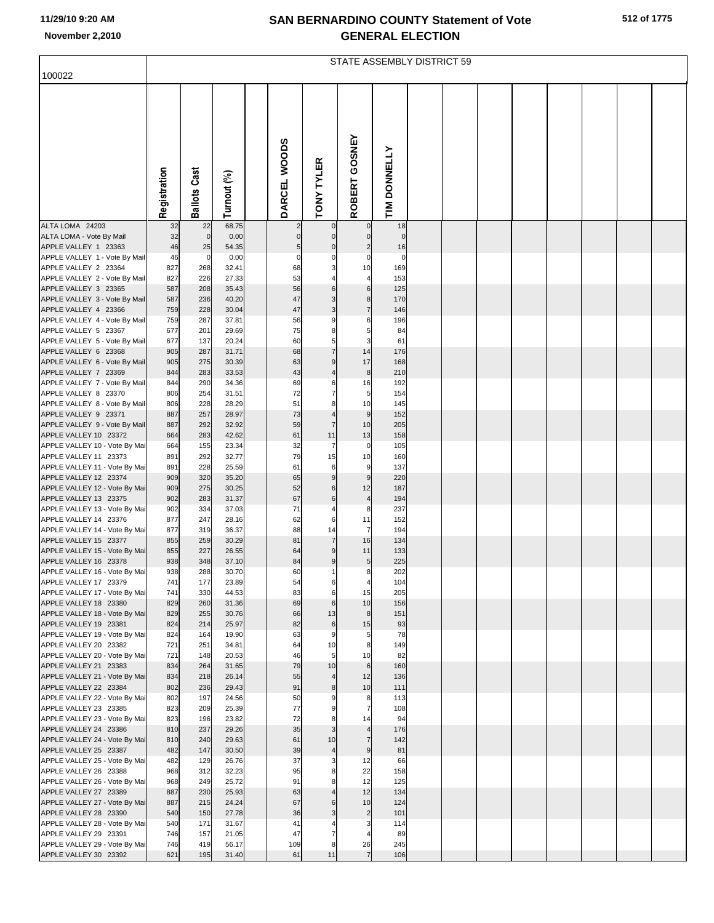# **SAN BERNARDINO COUNTY Statement of Vote**

| 512 of 1775 |  |  |
|-------------|--|--|
|-------------|--|--|

| November 2,2010                                        | <b>GENERAL ELECTION</b><br>STATE ASSEMBLY DISTRICT 59 |                     |                |  |                               |                              |                          |                   |  |  |  |  |  |  |
|--------------------------------------------------------|-------------------------------------------------------|---------------------|----------------|--|-------------------------------|------------------------------|--------------------------|-------------------|--|--|--|--|--|--|
| 100022                                                 |                                                       |                     |                |  |                               |                              |                          |                   |  |  |  |  |  |  |
|                                                        | Registration                                          | <b>Ballots Cast</b> | Turnout (%)    |  | DARCEL WOODS                  | <b>TONY TYLER</b>            | GOSNEY<br>ROBERT         | TIM DONNELLY      |  |  |  |  |  |  |
| ALTA LOMA 24203<br>ALTA LOMA - Vote By Mail            | 32<br>32                                              | 22<br>$\mathbf 0$   | 68.75<br>0.00  |  | $\overline{2}$<br>$\mathbf 0$ | $\circ$<br>$\overline{0}$    | $\pmb{0}$<br>$\mathbf 0$ | 18<br>$\mathbf 0$ |  |  |  |  |  |  |
| APPLE VALLEY 1 23363                                   | 46                                                    | 25                  | 54.35          |  | 5                             | $\Omega$                     | $\overline{a}$           | 16                |  |  |  |  |  |  |
| APPLE VALLEY 1 - Vote By Mail                          | 46                                                    | $\mathbf 0$         | 0.00           |  | $\mathbf 0$                   | 0                            | 0                        | $\mathbf 0$       |  |  |  |  |  |  |
| APPLE VALLEY 2 23364<br>APPLE VALLEY 2 - Vote By Mail  | 827<br>827                                            | 268<br>226          | 32.41<br>27.33 |  | 68<br>53                      | 3                            | 10<br>4                  | 169<br>153        |  |  |  |  |  |  |
| APPLE VALLEY 3 23365                                   | 587                                                   | 208                 | 35.43          |  | 56                            | 6                            | 6                        | 125               |  |  |  |  |  |  |
| APPLE VALLEY 3 - Vote By Mail                          | 587                                                   | 236                 | 40.20          |  | 47                            | 3                            | 8                        | 170               |  |  |  |  |  |  |
| APPLE VALLEY 4 23366                                   | 759                                                   | 228                 | 30.04          |  | 47                            | 3                            | $\overline{7}$           | 146               |  |  |  |  |  |  |
| APPLE VALLEY 4 - Vote By Mail                          | 759<br>677                                            | 287<br>201          | 37.81          |  | 56<br>75                      | 9                            | 6                        | 196<br>84         |  |  |  |  |  |  |
| APPLE VALLEY 5 23367<br>APPLE VALLEY 5 - Vote By Mail  | 677                                                   | 137                 | 29.69<br>20.24 |  | 60                            | 8<br>5                       | 5<br>3                   | 61                |  |  |  |  |  |  |
| APPLE VALLEY 6 23368                                   | 905                                                   | 287                 | 31.71          |  | 68                            |                              | 14                       | 176               |  |  |  |  |  |  |
| APPLE VALLEY 6 - Vote By Mail                          | 905                                                   | 275                 | 30.39          |  | 63                            | $\boldsymbol{9}$             | 17                       | 168               |  |  |  |  |  |  |
| APPLE VALLEY 7 23369                                   | 844                                                   | 283                 | 33.53          |  | 43                            |                              | 8                        | 210               |  |  |  |  |  |  |
| APPLE VALLEY 7 - Vote By Mail<br>APPLE VALLEY 8 23370  | 844<br>806                                            | 290<br>254          | 34.36<br>31.51 |  | 69<br>72                      | 6                            | 16<br>5                  | 192<br>154        |  |  |  |  |  |  |
| APPLE VALLEY 8 - Vote By Mail                          | 806                                                   | 228                 | 28.29          |  | 51                            | 8                            | 10                       | 145               |  |  |  |  |  |  |
| APPLE VALLEY 9 23371                                   | 887                                                   | 257                 | 28.97          |  | 73                            | 4                            | 9                        | 152               |  |  |  |  |  |  |
| APPLE VALLEY 9 - Vote By Mail                          | 887                                                   | 292                 | 32.92          |  | 59                            | $\overline{7}$               | 10                       | 205               |  |  |  |  |  |  |
| APPLE VALLEY 10 23372<br>APPLE VALLEY 10 - Vote By Mai | 664<br>664                                            | 283<br>155          | 42.62<br>23.34 |  | 61<br>32                      | 11<br>$\overline{7}$         | 13<br>0                  | 158<br>105        |  |  |  |  |  |  |
| APPLE VALLEY 11 23373                                  | 891                                                   | 292                 | 32.77          |  | 79                            | 15                           | 10                       | 160               |  |  |  |  |  |  |
| APPLE VALLEY 11 - Vote By Mai                          | 891                                                   | 228                 | 25.59          |  | 61                            | 6                            | 9                        | 137               |  |  |  |  |  |  |
| APPLE VALLEY 12 23374                                  | 909                                                   | 320                 | 35.20          |  | 65                            | 9                            | 9                        | 220               |  |  |  |  |  |  |
| APPLE VALLEY 12 - Vote By Mai<br>APPLE VALLEY 13 23375 | 909<br>902                                            | 275<br>283          | 30.25<br>31.37 |  | 52<br>67                      | 6<br>6                       | 12<br>$\overline{4}$     | 187<br>194        |  |  |  |  |  |  |
| APPLE VALLEY 13 - Vote By Mai                          | 902                                                   | 334                 | 37.03          |  | 71                            | 4                            | 8                        | 237               |  |  |  |  |  |  |
| APPLE VALLEY 14 23376                                  | 877                                                   | 247                 | 28.16          |  | 62                            | 6                            | 11                       | 152               |  |  |  |  |  |  |
| APPLE VALLEY 14 - Vote By Mai                          | 877                                                   | 319                 | 36.37          |  | 88                            | 14                           | 7                        | 194               |  |  |  |  |  |  |
| APPLE VALLEY 15 23377<br>APPLE VALLEY 15 - Vote By Mai | 855<br>855                                            | 259<br>227          | 30.29<br>26.55 |  | 81<br>64                      | $\overline{7}$<br>9          | 16<br>11                 | 134<br>133        |  |  |  |  |  |  |
| APPLE VALLEY 16 23378                                  | 938                                                   | 348                 | 37.10          |  | 84                            | 9                            | 5                        | 225               |  |  |  |  |  |  |
| APPLE VALLEY 16 - Vote By Mai                          | 938                                                   | 288                 | 30.70          |  | 60                            |                              | 8                        | 202               |  |  |  |  |  |  |
| APPLE VALLEY 17 23379                                  | 741                                                   | 177                 | 23.89          |  | 54                            | 6                            | 4                        | 104               |  |  |  |  |  |  |
| APPLE VALLEY 17 - Vote By Mai<br>APPLE VALLEY 18 23380 | 741<br>829                                            | 330<br>260          | 44.53<br>31.36 |  | 83<br>69                      | 6<br>6                       | 15<br>10                 | 205<br>156        |  |  |  |  |  |  |
| APPLE VALLEY 18 - Vote By Mai                          | 829                                                   | 255                 | 30.76          |  | 66                            | 13                           | 8                        | 151               |  |  |  |  |  |  |
| APPLE VALLEY 19 23381                                  | 824                                                   | 214                 | 25.97          |  | 82                            | 6                            | 15                       | 93                |  |  |  |  |  |  |
| APPLE VALLEY 19 - Vote By Mai                          | 824                                                   | 164                 | 19.90          |  | 63                            | 9                            | 5                        | 78                |  |  |  |  |  |  |
| APPLE VALLEY 20 23382<br>APPLE VALLEY 20 - Vote By Mai | 721<br>721                                            | 251<br>148          | 34.81<br>20.53 |  | 64<br>46                      | 10<br>5 <sub>l</sub>         | 8<br>10                  | 149<br>82         |  |  |  |  |  |  |
| APPLE VALLEY 21 23383                                  | 834                                                   | 264                 | 31.65          |  | 79                            | 10                           | $\,6$                    | 160               |  |  |  |  |  |  |
| APPLE VALLEY 21 - Vote By Mai                          | 834                                                   | 218                 | 26.14          |  | 55                            | $\overline{4}$               | 12                       | 136               |  |  |  |  |  |  |
| APPLE VALLEY 22 23384                                  | 802                                                   | 236                 | 29.43          |  | 91                            | 8                            | 10                       | 111               |  |  |  |  |  |  |
| APPLE VALLEY 22 - Vote By Mai<br>APPLE VALLEY 23 23385 | 802<br>823                                            | 197<br>209          | 24.56<br>25.39 |  | 50<br>77                      | 9<br>9                       | 8<br>$\overline{7}$      | 113<br>108        |  |  |  |  |  |  |
| APPLE VALLEY 23 - Vote By Mai                          | 823                                                   | 196                 | 23.82          |  | 72                            | 8                            | 14                       | 94                |  |  |  |  |  |  |
| APPLE VALLEY 24 23386                                  | 810                                                   | 237                 | 29.26          |  | 35                            | $\mathsf 3$                  | $\overline{4}$           | 176               |  |  |  |  |  |  |
| APPLE VALLEY 24 - Vote By Mai                          | 810                                                   | 240                 | 29.63          |  | 61                            | 10                           | $\overline{7}$           | 142               |  |  |  |  |  |  |
| APPLE VALLEY 25 23387                                  | 482                                                   | 147<br>129          | 30.50          |  | 39                            | $\sqrt{4}$                   | 9<br>12                  | 81<br>66          |  |  |  |  |  |  |
| APPLE VALLEY 25 - Vote By Mai<br>APPLE VALLEY 26 23388 | 482<br>968                                            | 312                 | 26.76<br>32.23 |  | 37<br>95                      | 3<br>8                       | 22                       | 158               |  |  |  |  |  |  |
| APPLE VALLEY 26 - Vote By Mai                          | 968                                                   | 249                 | 25.72          |  | 91                            | 8                            | 12                       | 125               |  |  |  |  |  |  |
| APPLE VALLEY 27 23389                                  | 887                                                   | 230                 | 25.93          |  | 63                            | $\overline{\mathcal{L}}$     | 12                       | 134               |  |  |  |  |  |  |
| APPLE VALLEY 27 - Vote By Mai                          | 887                                                   | 215                 | 24.24          |  | 67                            | 6                            | 10                       | 124               |  |  |  |  |  |  |
| APPLE VALLEY 28 23390<br>APPLE VALLEY 28 - Vote By Mai | 540<br>540                                            | 150<br>171          | 27.78<br>31.67 |  | 36<br>41                      | $\overline{\mathbf{3}}$<br>4 | $\overline{c}$<br>3      | 101<br>114        |  |  |  |  |  |  |
| APPLE VALLEY 29 23391                                  | 746                                                   | 157                 | 21.05          |  | 47                            | 7                            | 4                        | 89                |  |  |  |  |  |  |
| APPLE VALLEY 29 - Vote By Mai                          | 746                                                   | 419                 | 56.17          |  | 109                           | 8                            | 26                       | 245               |  |  |  |  |  |  |

APPLE VALLEY 30 23392 621 195 31.40 61 11 7 106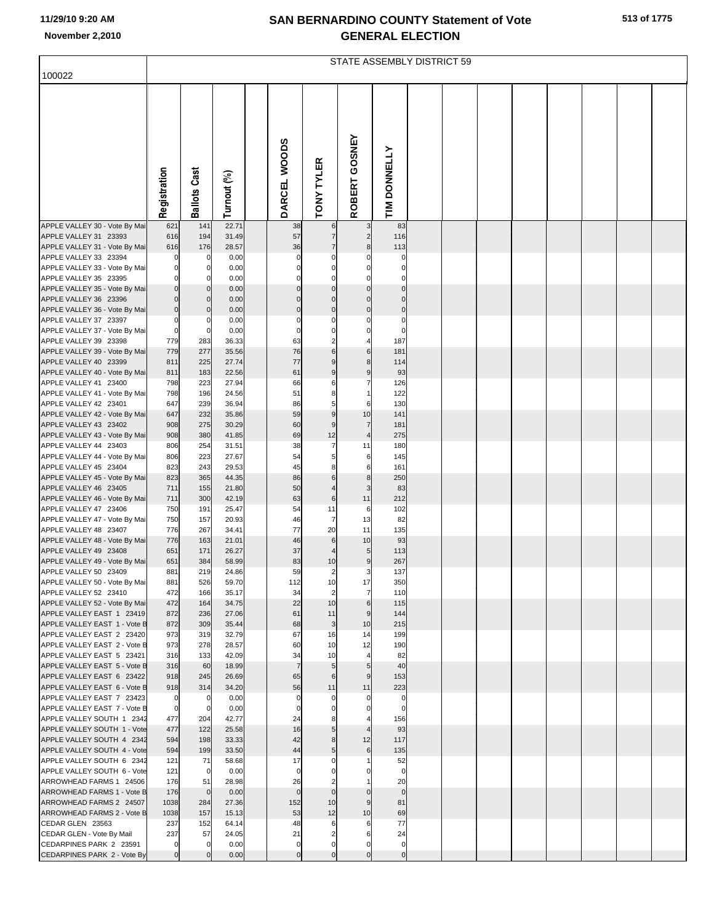|  | 513 of 1775 |
|--|-------------|
|--|-------------|

| November 2,2010                                           |                               |                            |                |                          |                                   | <b>GENERAL ELECTION</b>          |                             |  |  |  |  |
|-----------------------------------------------------------|-------------------------------|----------------------------|----------------|--------------------------|-----------------------------------|----------------------------------|-----------------------------|--|--|--|--|
|                                                           |                               |                            |                |                          |                                   | STATE ASSEMBLY DISTRICT 59       |                             |  |  |  |  |
| 100022                                                    |                               |                            |                |                          |                                   |                                  |                             |  |  |  |  |
|                                                           | Registration                  | Cast<br><b>Ballots</b>     | Turnout (%)    | DARCEL WOODS             | <b>TONY TYLER</b>                 | GOSNEY<br><b>ROBERT</b>          | <b>DONNELLY</b>             |  |  |  |  |
|                                                           |                               |                            |                |                          |                                   |                                  | $\overline{\mathbf{m}}$     |  |  |  |  |
| APPLE VALLEY 30 - Vote By Mai                             | 621                           | 141                        | 22.71          | 38                       | $\,6$                             | $\overline{3}$                   | 83                          |  |  |  |  |
| APPLE VALLEY 31 23393<br>APPLE VALLEY 31 - Vote By Mai    | 616<br>616                    | 194<br>176                 | 31.49<br>28.57 | 57<br>36                 | $\overline{7}$<br>$\overline{7}$  | $\overline{2}$<br>$\bf{8}$       | 116<br>113                  |  |  |  |  |
| APPLE VALLEY 33 23394                                     | 0                             | 0                          | 0.00           |                          | $\mathbf 0$                       | $\mathbf 0$                      | $\Omega$                    |  |  |  |  |
| APPLE VALLEY 33 - Vote By Mai                             | $\mathbf 0$                   | $\mathbf 0$                | 0.00           | 0                        | $\mathbf 0$                       | $\mathbf{0}$                     | 0                           |  |  |  |  |
| APPLE VALLEY 35 23395                                     | 0                             | $\mathbf 0$                | 0.00           |                          | $\mathbf 0$                       | $\mathbf 0$                      | 0                           |  |  |  |  |
| APPLE VALLEY 35 - Vote By Mai<br>APPLE VALLEY 36 23396    | $\overline{0}$<br>$\mathbf 0$ | $\mathbf 0$<br>$\mathbf 0$ | 0.00<br>0.00   | $\mathbf{0}$<br>$\Omega$ | $\mathbf 0$<br>$\mathbf 0$        | $\overline{0}$<br>$\overline{0}$ | $\mathbf 0$<br>$\mathbf{0}$ |  |  |  |  |
| APPLE VALLEY 36 - Vote By Mai                             | $\mathbf 0$                   | $\mathbf 0$                | 0.00           | $\mathbf 0$              | $\mathbf 0$                       | $\overline{0}$                   | $\mathbf 0$                 |  |  |  |  |
| APPLE VALLEY 37 23397                                     | $\mathbf 0$                   | $\mathbf 0$                | 0.00           |                          | $\mathbf 0$                       | $\mathbf 0$                      | $\mathbf 0$                 |  |  |  |  |
| APPLE VALLEY 37 - Vote By Mai                             | $\mathbf 0$                   | $\mathbf 0$                | 0.00           |                          | $\mathbf 0$                       | $\mathbf{0}$                     | $\mathbf 0$                 |  |  |  |  |
| APPLE VALLEY 39 23398                                     | 779                           | 283                        | 36.33          | 63                       | $\overline{2}$<br>$6\phantom{1}6$ | 4<br>6                           | 187                         |  |  |  |  |
| APPLE VALLEY 39 - Vote By Mai<br>APPLE VALLEY 40 23399    | 779<br>811                    | 277<br>225                 | 35.56<br>27.74 | 76<br>77                 | 9                                 | 8 <sup>1</sup>                   | 181<br>114                  |  |  |  |  |
| APPLE VALLEY 40 - Vote By Mai                             | 811                           | 183                        | 22.56          | 61                       | $\overline{9}$                    | 9                                | 93                          |  |  |  |  |
| APPLE VALLEY 41 23400                                     | 798                           | 223                        | 27.94          | 66                       | 6                                 | $\overline{7}$                   | 126                         |  |  |  |  |
| APPLE VALLEY 41 - Vote By Mai                             | 798                           | 196                        | 24.56          | 51                       | 8                                 | $\mathbf{1}$                     | 122                         |  |  |  |  |
| APPLE VALLEY 42 23401                                     | 647                           | 239                        | 36.94          | 86                       | 5                                 | 6                                | 130                         |  |  |  |  |
| APPLE VALLEY 42 - Vote By Mai<br>APPLE VALLEY 43 23402    | 647<br>908                    | 232<br>275                 | 35.86<br>30.29 | 59<br>60                 | $\overline{9}$<br>9               | 10<br>$\overline{7}$             | 141<br>181                  |  |  |  |  |
| APPLE VALLEY 43 - Vote By Mai                             | 908                           | 380                        | 41.85          | 69                       | 12                                | $\overline{\mathbf{4}}$          | 275                         |  |  |  |  |
| APPLE VALLEY 44 23403                                     | 806                           | 254                        | 31.51          | 38                       | $\overline{7}$                    | 11                               | 180                         |  |  |  |  |
| APPLE VALLEY 44 - Vote By Mai                             | 806                           | 223                        | 27.67          | 54                       | 5                                 | 6                                | 145                         |  |  |  |  |
| APPLE VALLEY 45 23404                                     | 823                           | 243                        | 29.53          | 45                       | 8                                 | 6                                | 161                         |  |  |  |  |
| APPLE VALLEY 45 - Vote By Mai<br>APPLE VALLEY 46 23405    | 823<br>711                    | 365<br>155                 | 44.35<br>21.80 | 86<br>50                 | $6\phantom{1}6$<br>$\overline{a}$ | $\bf{8}$<br>$\overline{3}$       | 250<br>83                   |  |  |  |  |
| APPLE VALLEY 46 - Vote By Mai                             | 711                           | 300                        | 42.19          | 63                       | $\,6$                             | 11                               | 212                         |  |  |  |  |
| APPLE VALLEY 47 23406                                     | 750                           | 191                        | 25.47          | 54                       | 11                                | 6                                | 102                         |  |  |  |  |
| APPLE VALLEY 47 - Vote By Mai                             | 750                           | 157                        | 20.93          | 46                       | $\overline{7}$                    | 13                               | 82                          |  |  |  |  |
| APPLE VALLEY 48 23407<br>APPLE VALLEY 48 - Vote By Mai    | 776<br>776                    | 267                        | 34.41          | 77                       | 20                                | 11                               | 135                         |  |  |  |  |
| APPLE VALLEY 49 23408                                     | 651                           | 163<br>171                 | 21.01<br>26.27 | 46<br>37                 | $6\phantom{1}6$<br>$\overline{4}$ | 10<br>5                          | 93<br>113                   |  |  |  |  |
| APPLE VALLEY 49 - Vote By Mai                             | 651                           | 384                        | 58.99          | 83                       | 10                                | 9                                | 267                         |  |  |  |  |
| APPLE VALLEY 50 23409                                     | 881                           | 219                        | 24.86          | 59                       | $\overline{2}$                    | $\overline{\mathbf{3}}$          | 137                         |  |  |  |  |
| APPLE VALLEY 50 - Vote By Mai                             | 881                           | 526                        | 59.70          | 112                      | 10                                | 17                               | 350                         |  |  |  |  |
| APPLE VALLEY 52 23410<br>APPLE VALLEY 52 - Vote By Mai    | 472<br>472                    | 166<br>164                 | 35.17<br>34.75 | 34<br>22                 | $\overline{2}$<br>10              | $\overline{7}$<br>6              | 110<br>115                  |  |  |  |  |
| APPLE VALLEY EAST 1 23419                                 | 872                           | 236                        | 27.06          | 61                       | 11                                | 9                                | 144                         |  |  |  |  |
| APPLE VALLEY EAST 1 - Vote B                              | 872                           | 309                        | 35.44          | 68                       | $\mathbf{3}$                      | 10                               | 215                         |  |  |  |  |
| APPLE VALLEY EAST 2 23420                                 | 973                           | 319                        | 32.79          | 67                       | 16                                | 14                               | 199                         |  |  |  |  |
| APPLE VALLEY EAST 2 - Vote B                              | 973                           | 278                        | 28.57          | 60                       | 10                                | 12                               | 190                         |  |  |  |  |
| APPLE VALLEY EAST 5 23421<br>APPLE VALLEY EAST 5 - Vote B | 316<br>316                    | 133<br>60                  | 42.09<br>18.99 | 34<br>$\overline{7}$     | 10<br>$5\phantom{.0}$             | 4<br>5                           | 82<br>40                    |  |  |  |  |
| APPLE VALLEY EAST 6 23422                                 | 918                           | 245                        | 26.69          | 65                       | 6                                 | 9                                | 153                         |  |  |  |  |
| APPLE VALLEY EAST 6 - Vote B                              | 918                           | 314                        | 34.20          | 56                       | 11                                | 11                               | 223                         |  |  |  |  |
| APPLE VALLEY EAST 7 23423                                 | 0                             | 0                          | 0.00           | 0                        | $\mathbf 0$                       | 0                                | 0                           |  |  |  |  |
| APPLE VALLEY EAST 7 - Vote B                              | $\mathbf 0$                   | $\mathbf 0$                | 0.00           | $\mathbf 0$              | $\mathbf 0$                       | $\overline{0}$                   | $\mathbf 0$                 |  |  |  |  |
| APPLE VALLEY SOUTH 1 2342<br>APPLE VALLEY SOUTH 1 - Vote  | 477<br>477                    | 204<br>122                 | 42.77<br>25.58 | 24<br>16                 | 8<br>5                            | 4<br>$\overline{4}$              | 156<br>93                   |  |  |  |  |
| APPLE VALLEY SOUTH 4 2342                                 | 594                           | 198                        | 33.33          | 42                       | 8                                 | 12                               | 117                         |  |  |  |  |
| APPLE VALLEY SOUTH 4 - Vote                               | 594                           | 199                        | 33.50          | 44                       | 5                                 | 6                                | 135                         |  |  |  |  |
| APPLE VALLEY SOUTH 6 2342                                 | 121                           | 71                         | 58.68          | 17                       | $\mathbf 0$                       | 1                                | 52                          |  |  |  |  |
| APPLE VALLEY SOUTH 6 - Vote                               | 121                           | $\mathbf 0$                | 0.00           | $\mathbf 0$              | $\mathbf 0$                       | $\mathbf 0$                      | $\mathbf 0$                 |  |  |  |  |
| ARROWHEAD FARMS 1 24506<br>ARROWHEAD FARMS 1 - Vote B     | 176<br>176                    | 51<br>$\mathbf 0$          | 28.98<br>0.00  | 26<br>$\mathbf 0$        | $\overline{2}$<br>$\overline{0}$  | 1<br>$\overline{0}$              | 20<br>$\mathbf 0$           |  |  |  |  |
| ARROWHEAD FARMS 2 24507                                   | 1038                          | 284                        | 27.36          | 152                      | 10                                | 9                                | 81                          |  |  |  |  |
| ARROWHEAD FARMS 2 - Vote B                                | 1038                          | 157                        | 15.13          | 53                       | 12                                | 10                               | 69                          |  |  |  |  |
| CEDAR GLEN 23563                                          | 237                           | 152                        | 64.14          | 48                       | 6                                 | 6                                | 77                          |  |  |  |  |
| CEDAR GLEN - Vote By Mail<br>CEDARPINES PARK 2 23591      | 237<br>0                      | 57<br>$\mathbf 0$          | 24.05<br>0.00  | 21<br>0                  | $\overline{2}$<br>0               | 6<br>0                           | 24<br>0                     |  |  |  |  |
| CEDARPINES PARK 2 - Vote By                               | $\mathbf 0$                   | $\mathbf 0$                | 0.00           | $\Omega$                 | $\mathbf 0$                       | $\mathbf 0$                      | $\mathbf 0$                 |  |  |  |  |
|                                                           |                               |                            |                |                          |                                   |                                  |                             |  |  |  |  |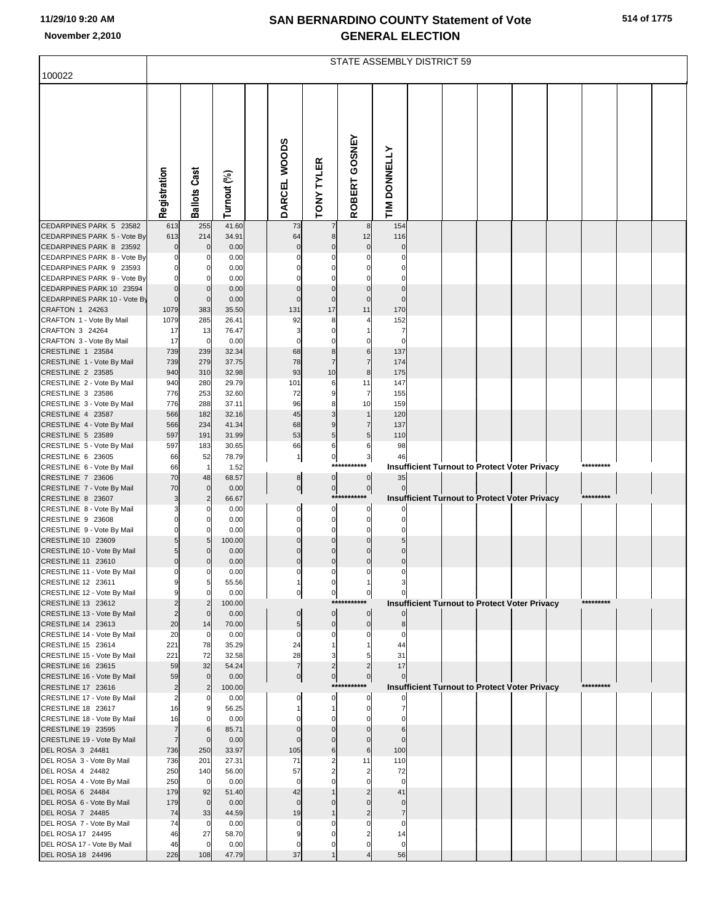|                                                                                       | STATE ASSEMBLY DISTRICT 59        |                             |                       |  |                                  |                                  |                                  |                                |                                                      |  |  |  |  |           |  |
|---------------------------------------------------------------------------------------|-----------------------------------|-----------------------------|-----------------------|--|----------------------------------|----------------------------------|----------------------------------|--------------------------------|------------------------------------------------------|--|--|--|--|-----------|--|
| 100022                                                                                |                                   |                             |                       |  |                                  |                                  |                                  |                                |                                                      |  |  |  |  |           |  |
|                                                                                       | Registration                      | <b>Ballots Cast</b>         | Turnout (%)           |  | DARCEL WOODS                     | <b>TONY TYLER</b>                | ROBERT GOSNEY                    | TIM DONNELLY                   |                                                      |  |  |  |  |           |  |
| CEDARPINES PARK 5 23582                                                               | 613                               | 255                         | 41.60                 |  | 73                               |                                  | 8                                | 154                            |                                                      |  |  |  |  |           |  |
| CEDARPINES PARK 5 - Vote By<br>CEDARPINES PARK 8 23592<br>CEDARPINES PARK 8 - Vote By | 613<br>$\mathbf 0$<br>$\mathbf 0$ | 214<br>$\mathbf 0$<br>0     | 34.91<br>0.00<br>0.00 |  | 64<br>$\mathbf 0$                | 8<br>$\pmb{0}$<br>$\Omega$       | 12<br>$\pmb{0}$<br>$\Omega$      | 116<br>$\mathbf 0$<br>$\Omega$ |                                                      |  |  |  |  |           |  |
| CEDARPINES PARK 9 23593                                                               | $\mathbf 0$                       | 0                           | 0.00                  |  |                                  | 0                                | $\Omega$                         | 0                              |                                                      |  |  |  |  |           |  |
| CEDARPINES PARK 9 - Vote By                                                           | $\Omega$                          | $\Omega$                    | 0.00                  |  |                                  |                                  |                                  |                                |                                                      |  |  |  |  |           |  |
| CEDARPINES PARK 10 23594<br>CEDARPINES PARK 10 - Vote By                              | $\mathbf 0$<br>$\mathbf 0$        | $\mathbf{0}$<br>$\mathbf 0$ | 0.00<br>0.00          |  | $\pmb{0}$<br>$\mathbf 0$         | $\pmb{0}$<br>$\mathbf 0$         | $\pmb{0}$<br>$\mathbf 0$         | $\pmb{0}$<br>$\mathbf 0$       |                                                      |  |  |  |  |           |  |
| CRAFTON 1 24263                                                                       | 1079                              | 383                         | 35.50                 |  | 131                              | 17                               | 11                               | 170                            |                                                      |  |  |  |  |           |  |
| CRAFTON 1 - Vote By Mail<br>CRAFTON 3 24264                                           | 1079<br>17                        | 285<br>13                   | 26.41<br>76.47        |  | 92<br>3                          | 8<br>$\mathbf 0$                 | 4                                | 152<br>7                       |                                                      |  |  |  |  |           |  |
| CRAFTON 3 - Vote By Mail                                                              | 17                                | $\mathbf 0$                 | 0.00                  |  | $\Omega$                         | $\mathbf 0$                      | $\mathbf 0$                      | $\Omega$                       |                                                      |  |  |  |  |           |  |
| CRESTLINE 1 23584                                                                     | 739                               | 239                         | 32.34                 |  | 68                               | 8                                | 6                                | 137                            |                                                      |  |  |  |  |           |  |
| CRESTLINE 1 - Vote By Mail<br>CRESTLINE 2 23585                                       | 739<br>940                        | 279<br>310                  | 37.75<br>32.98        |  | 78<br>93                         | $\overline{7}$<br>10             | $\overline{7}$<br>$\bf8$         | 174<br>175                     |                                                      |  |  |  |  |           |  |
| CRESTLINE 2 - Vote By Mail                                                            | 940                               | 280                         | 29.79                 |  | 101                              | 6                                | 11                               | 147                            |                                                      |  |  |  |  |           |  |
| CRESTLINE 3 23586                                                                     | 776                               | 253                         | 32.60                 |  | 72                               | 9                                | 7                                | 155                            |                                                      |  |  |  |  |           |  |
| CRESTLINE 3 - Vote By Mail<br>CRESTLINE 4 23587                                       | 776<br>566                        | 288<br>182                  | 37.11<br>32.16        |  | 96<br>45                         | 8<br>$\mathsf 3$                 | 10<br>$\mathbf{1}$               | 159<br>120                     |                                                      |  |  |  |  |           |  |
| CRESTLINE 4 - Vote By Mail                                                            | 566                               | 234                         | 41.34                 |  | 68                               | $\boldsymbol{9}$                 | $\overline{7}$                   | 137                            |                                                      |  |  |  |  |           |  |
| CRESTLINE 5 23589                                                                     | 597                               | 191                         | 31.99                 |  | 53                               | $\overline{5}$                   | $\overline{5}$                   | 110                            |                                                      |  |  |  |  |           |  |
| CRESTLINE 5 - Vote By Mail<br>CRESTLINE 6 23605                                       | 597<br>66                         | 183<br>52                   | 30.65<br>78.79        |  | 66<br>$\mathbf{1}$               | 6<br>$\overline{0}$              | 6<br>$\overline{\mathbf{3}}$     | 98<br>46                       |                                                      |  |  |  |  |           |  |
| CRESTLINE 6 - Vote By Mail                                                            | 66                                | $\mathbf{1}$                | 1.52                  |  |                                  | $***$                            | *******                          |                                | Insufficient Turnout to Protect Voter Privacy        |  |  |  |  | ********* |  |
| CRESTLINE 7 23606<br>CRESTLINE 7 - Vote By Mail                                       | 70<br>70                          | 48<br>$\mathbf{0}$          | 68.57<br>0.00         |  | 8<br>$\circ$                     | $\overline{0}$<br>$\mathbf{0}$   | $\overline{0}$<br>$\overline{0}$ | 35<br>$\overline{0}$           |                                                      |  |  |  |  |           |  |
| CRESTLINE 8 23607                                                                     | 3                                 | $\overline{2}$              | 66.67                 |  |                                  |                                  | ***********                      |                                | Insufficient Turnout to Protect Voter Privacy        |  |  |  |  | ********* |  |
| CRESTLINE 8 - Vote By Mail                                                            | 3<br>$\mathbf 0$                  | 0                           | 0.00                  |  | 0                                | $\mathbf 0$                      | 0                                |                                |                                                      |  |  |  |  |           |  |
| CRESTLINE 9 23608<br>CRESTLINE 9 - Vote By Mail                                       | $\mathbf 0$                       | $\mathbf 0$<br>$\Omega$     | 0.00<br>0.00          |  | $\mathbf 0$<br>$\Omega$          | $\overline{0}$<br>$\mathbf 0$    | $\mathbf 0$<br>$\Omega$          | $\Omega$                       |                                                      |  |  |  |  |           |  |
| CRESTLINE 10 23609                                                                    | 5                                 | 5                           | 100.00                |  | $\mathbf 0$                      | $\pmb{0}$                        | $\mathbf 0$                      | 5                              |                                                      |  |  |  |  |           |  |
| CRESTLINE 10 - Vote By Mail<br>CRESTLINE 11 23610                                     | 5<br>$\mathbf 0$                  | $\mathbf 0$                 | 0.00<br>0.00          |  | $\mathbf 0$<br>$\pmb{0}$         | $\mathbf 0$<br>$\pmb{0}$         | $\mathbf 0$<br>$\pmb{0}$         | $\mathbf 0$<br>$\pmb{0}$       |                                                      |  |  |  |  |           |  |
| CRESTLINE 11 - Vote By Mail                                                           | $\mathbf 0$                       | ŋ                           | 0.00                  |  | $\Omega$                         | $\Omega$                         | $\Omega$                         | $\Omega$                       |                                                      |  |  |  |  |           |  |
| CRESTLINE 12 23611                                                                    |                                   | 5                           | 55.56                 |  |                                  |                                  |                                  |                                |                                                      |  |  |  |  |           |  |
| CRESTLINE 12 - Vote By Mail<br>CRESTLINE 13 23612                                     | 9<br>$\overline{c}$               | $\Omega$<br>$\overline{2}$  | 0.00<br>100.00        |  | 0                                | $\overline{0}$                   | $\overline{0}$<br>***********    |                                | <b>Insufficient Turnout to Protect Voter Privacy</b> |  |  |  |  | ********* |  |
| CRESTLINE 13 - Vote By Mail                                                           | $\overline{c}$                    | $\Omega$                    | 0.00                  |  | $\mathbf 0$                      | $\overline{0}$                   | $\overline{0}$                   |                                |                                                      |  |  |  |  |           |  |
| CRESTLINE 14 23613<br>CRESTLINE 14 - Vote By Mail                                     | 20<br>20                          | 14                          | 70.00                 |  | 5 <sub>5</sub><br>$\mathbf 0$    | $\overline{0}$                   | $\overline{0}$                   | 8<br>$\Omega$                  |                                                      |  |  |  |  |           |  |
| CRESTLINE 15 23614                                                                    | 221                               | $\mathbf 0$<br>78           | 0.00<br>35.29         |  | 24                               | 0<br>$\mathbf{1}$                | $\Omega$                         | 44                             |                                                      |  |  |  |  |           |  |
| CRESTLINE 15 - Vote By Mail                                                           | 221                               | 72                          | 32.58                 |  | 28                               | 3                                | 5                                | 31                             |                                                      |  |  |  |  |           |  |
| CRESTLINE 16 23615<br>CRESTLINE 16 - Vote By Mail                                     | 59<br>59                          | 32<br>$\Omega$              | 54.24<br>0.00         |  | $\overline{7}$<br>$\overline{0}$ | $\overline{c}$<br>$\overline{0}$ | $\overline{c}$<br>$\overline{0}$ | 17                             |                                                      |  |  |  |  |           |  |
| CRESTLINE 17 23616                                                                    | $\overline{2}$                    | $\overline{2}$              | 100.00                |  |                                  |                                  | ***********                      |                                | <b>Insufficient Turnout to Protect Voter Privacy</b> |  |  |  |  | ********* |  |
| CRESTLINE 17 - Vote By Mail                                                           | $\overline{a}$                    |                             | 0.00                  |  | $\mathbf 0$                      | $\mathbf 0$                      | $\mathbf 0$                      |                                |                                                      |  |  |  |  |           |  |
| CRESTLINE 18 23617<br>CRESTLINE 18 - Vote By Mail                                     | 16<br>16                          | U                           | 56.25<br>0.00         |  |                                  | 1<br>$\Omega$                    | $\overline{0}$<br>$\Omega$       |                                |                                                      |  |  |  |  |           |  |
| CRESTLINE 19 23595                                                                    | $\overline{7}$                    | 6                           | 85.71                 |  | $\mathbf 0$                      | $\mathbf 0$                      | $\mathbf 0$                      | 6                              |                                                      |  |  |  |  |           |  |
| CRESTLINE 19 - Vote By Mail<br>DEL ROSA 3 24481                                       | $\overline{7}$<br>736             | $\Omega$<br>250             | 0.00<br>33.97         |  | $\mathbf 0$<br>105               | $\mathbf 0$<br>$6\phantom{1}$    | $\mathbf 0$<br>$6\phantom{1}$    | $\mathbf 0$<br>100             |                                                      |  |  |  |  |           |  |
| DEL ROSA 3 - Vote By Mail                                                             | 736                               | 201                         | 27.31                 |  | 71                               | $\overline{2}$                   | 11                               | 110                            |                                                      |  |  |  |  |           |  |
| DEL ROSA 4 24482                                                                      | 250                               | 140                         | 56.00                 |  | 57                               | $\overline{2}$                   | $\overline{c}$                   | 72                             |                                                      |  |  |  |  |           |  |
| DEL ROSA 4 - Vote By Mail<br>DEL ROSA 6 24484                                         | 250<br>179                        | $\Omega$<br>92              | 0.00<br>51.40         |  | $\mathbf 0$<br>42                | $\Omega$                         | $\mathbf 0$<br>$\overline{c}$    | $\Omega$<br>41                 |                                                      |  |  |  |  |           |  |
| DEL ROSA 6 - Vote By Mail                                                             | 179                               | $\overline{0}$              | 0.00                  |  | $\mathbf 0$                      | $\Omega$                         | $\mathbf 0$                      | $\mathbf 0$                    |                                                      |  |  |  |  |           |  |
| DEL ROSA 7 24485                                                                      | 74                                | 33                          | 44.59                 |  | 19                               |                                  | $\overline{c}$                   | $\overline{7}$                 |                                                      |  |  |  |  |           |  |
| DEL ROSA 7 - Vote By Mail<br>DEL ROSA 17 24495                                        | 74<br>46                          | $\mathbf 0$<br>27           | 0.00<br>58.70         |  | $\Omega$<br>9                    | $\Omega$<br>$\Omega$             | $\Omega$<br>$\overline{2}$       | $\Omega$<br>14                 |                                                      |  |  |  |  |           |  |
| DEL ROSA 17 - Vote By Mail                                                            | 46                                | $\Omega$                    | 0.00                  |  | $\Omega$                         |                                  | $\Omega$                         | $\Omega$                       |                                                      |  |  |  |  |           |  |
| DEL ROSA 18 24496                                                                     | 226                               | 108                         | 47.79                 |  | 37                               | $\mathbf{1}$                     | $\overline{4}$                   | 56                             |                                                      |  |  |  |  |           |  |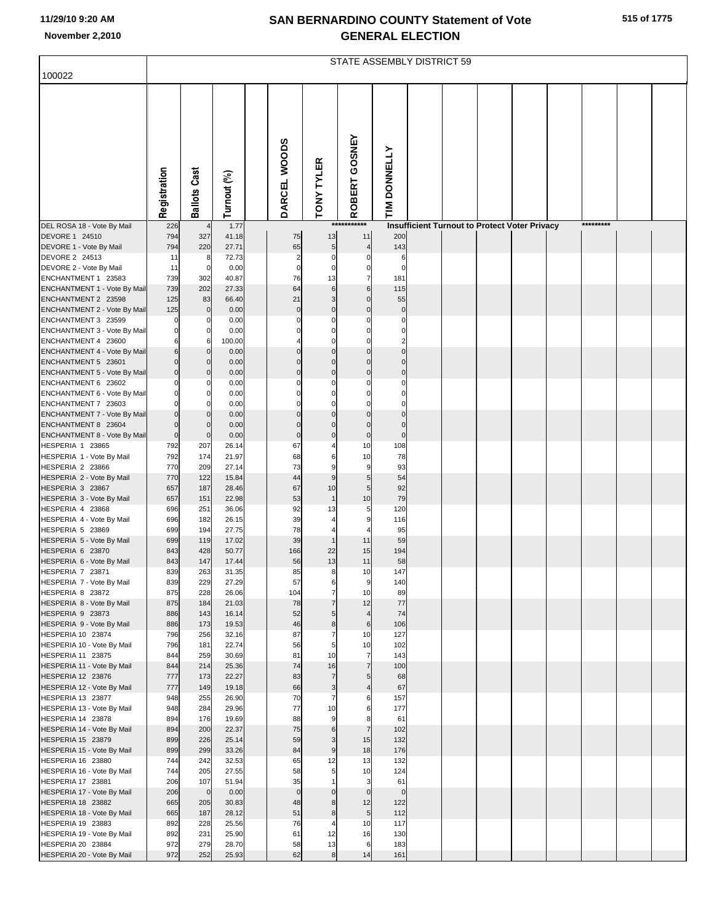|                                                     | STATE ASSEMBLY DISTRICT 59 |                       |                |  |                         |                      |                             |                      |  |  |  |                                                      |  |           |  |
|-----------------------------------------------------|----------------------------|-----------------------|----------------|--|-------------------------|----------------------|-----------------------------|----------------------|--|--|--|------------------------------------------------------|--|-----------|--|
| 100022                                              |                            |                       |                |  |                         |                      |                             |                      |  |  |  |                                                      |  |           |  |
|                                                     |                            |                       |                |  |                         |                      | GOSNEY                      |                      |  |  |  |                                                      |  |           |  |
|                                                     | Registration               | <b>Ballots Cast</b>   | Turnout (%)    |  | DARCEL WOODS            | <b>TONY TYLER</b>    | ROBERT                      | TIM DONNELLY         |  |  |  |                                                      |  |           |  |
| DEL ROSA 18 - Vote By Mail                          | 226                        |                       | 1.77           |  |                         |                      | ***********                 |                      |  |  |  | <b>Insufficient Turnout to Protect Voter Privacy</b> |  | ********* |  |
| DEVORE 1 24510                                      | 794                        | 327                   | 41.18          |  | 75                      | 13                   | 11                          | 200                  |  |  |  |                                                      |  |           |  |
| DEVORE 1 - Vote By Mail                             | 794                        | 220                   | 27.71          |  | 65                      | $\sqrt{5}$           | $\overline{A}$              | 143                  |  |  |  |                                                      |  |           |  |
| DEVORE 2 24513                                      | 11                         | 8                     | 72.73          |  | $\overline{\mathbf{c}}$ | $\mathbf 0$          | $\Omega$                    | 6                    |  |  |  |                                                      |  |           |  |
| DEVORE 2 - Vote By Mail<br>ENCHANTMENT 1 23583      | 11<br>739                  | $\mathbf 0$<br>302    | 0.00<br>40.87  |  | $\mathbf 0$<br>76       | $\mathbf 0$<br>13    | $\pmb{0}$<br>$\overline{7}$ | $\mathbf 0$<br>181   |  |  |  |                                                      |  |           |  |
| ENCHANTMENT 1 - Vote By Mail                        | 739                        | 202                   | 27.33          |  | 64                      | $6\phantom{1}6$      | 6                           | 115                  |  |  |  |                                                      |  |           |  |
| ENCHANTMENT 2 23598                                 | 125                        | 83                    | 66.40          |  | 21                      | 3                    | $\Omega$                    | 55                   |  |  |  |                                                      |  |           |  |
| ENCHANTMENT 2 - Vote By Mail                        | 125                        | $\mathbf{0}$          | 0.00           |  | $\mathbf{0}$            | $\mathbf{0}$         | $\mathbf 0$                 | $\mathbf 0$          |  |  |  |                                                      |  |           |  |
| ENCHANTMENT 3 23599                                 | 0                          | O                     | 0.00           |  | C<br>C                  | $\Omega$<br>$\Omega$ | $\Omega$<br>$\Omega$        | $\Omega$<br>$\Omega$ |  |  |  |                                                      |  |           |  |
| ENCHANTMENT 3 - Vote By Mail<br>ENCHANTMENT 4 23600 | $\mathbf 0$<br>6           | 0<br>6                | 0.00<br>100.00 |  |                         | $\Omega$             | $\Omega$                    | $\overline{c}$       |  |  |  |                                                      |  |           |  |
| ENCHANTMENT 4 - Vote By Mail                        | $\,$ 6                     | $\overline{0}$        | 0.00           |  | $\Omega$                | $\mathbf 0$          | $\overline{0}$              | $\Omega$             |  |  |  |                                                      |  |           |  |
| ENCHANTMENT 5 23601                                 | $\mathbf 0$                | $\overline{0}$        | 0.00           |  | $\Omega$                | $\Omega$             | $\Omega$                    | $\Omega$             |  |  |  |                                                      |  |           |  |
| ENCHANTMENT 5 - Vote By Mail                        | $\mathbf 0$                | $\Omega$              | 0.00           |  | $\mathbf{0}$            | $\mathbf{0}$         | $\Omega$                    | $\Omega$             |  |  |  |                                                      |  |           |  |
| ENCHANTMENT 6 23602<br>ENCHANTMENT 6 - Vote By Mail | $\Omega$<br>$\mathbf 0$    | O<br>$\mathbf{0}$     | 0.00<br>0.00   |  | C                       | 0                    | $\Omega$                    | $\Omega$<br>$\Omega$ |  |  |  |                                                      |  |           |  |
| ENCHANTMENT 7 23603                                 | $\mathbf 0$                | $\Omega$              | 0.00           |  | $\Omega$                | $\Omega$             | $\Omega$                    | $\Omega$             |  |  |  |                                                      |  |           |  |
| ENCHANTMENT 7 - Vote By Mail                        | $\mathbf 0$                | $\Omega$              | 0.00           |  | $\Omega$                | $\Omega$             | $\mathbf 0$                 | $\Omega$             |  |  |  |                                                      |  |           |  |
| ENCHANTMENT 8 23604                                 | $\mathbf 0$                | $\Omega$              | 0.00           |  | $\Omega$                | $\Omega$             | $\overline{0}$              | $\Omega$             |  |  |  |                                                      |  |           |  |
| ENCHANTMENT 8 - Vote By Mail                        | $\mathbf 0$                | $\Omega$              | 0.00           |  | $\mathbf 0$             | $\mathbf 0$          | $\bf 0$                     | $\mathbf 0$          |  |  |  |                                                      |  |           |  |
| HESPERIA 1 23865<br>HESPERIA 1 - Vote By Mail       | 792<br>792                 | 207<br>174            | 26.14<br>21.97 |  | 67<br>68                | 6                    | 10<br>10                    | 108<br>78            |  |  |  |                                                      |  |           |  |
| HESPERIA 2 23866                                    | 770                        | 209                   | 27.14          |  | 73                      | 9                    | 9                           | 93                   |  |  |  |                                                      |  |           |  |
| HESPERIA 2 - Vote By Mail                           | 770                        | 122                   | 15.84          |  | 44                      | $\boldsymbol{9}$     | 5                           | 54                   |  |  |  |                                                      |  |           |  |
| HESPERIA 3 23867                                    | 657                        | 187                   | 28.46          |  | 67                      | 10                   | 5                           | 92                   |  |  |  |                                                      |  |           |  |
| HESPERIA 3 - Vote By Mail<br>HESPERIA 4 23868       | 657<br>696                 | 151<br>251            | 22.98<br>36.06 |  | 53<br>92                | $\mathbf{1}$<br>13   | 10<br>5                     | 79<br>120            |  |  |  |                                                      |  |           |  |
| HESPERIA 4 - Vote By Mail                           | 696                        | 182                   | 26.15          |  | 39                      |                      | 9                           | 116                  |  |  |  |                                                      |  |           |  |
| HESPERIA 5 23869                                    | 699                        | 194                   | 27.75          |  | 78                      |                      |                             | 95                   |  |  |  |                                                      |  |           |  |
| HESPERIA 5 - Vote By Mail                           | 699                        | 119                   | 17.02          |  | 39                      | $\mathbf{1}$         | 11                          | 59                   |  |  |  |                                                      |  |           |  |
| HESPERIA 6 23870<br>HESPERIA 6 - Vote By Mail       | 843                        | 428                   | 50.77          |  | 166                     | 22<br>13             | 15<br>11                    | 194                  |  |  |  |                                                      |  |           |  |
| HESPERIA 7 23871                                    | 843<br>839                 | 147<br>263            | 17.44<br>31.35 |  | 56<br>85                | 8                    | 10                          | 58<br>147            |  |  |  |                                                      |  |           |  |
| HESPERIA 7 - Vote By Mail                           | 839                        | 229                   | 27.29          |  | 57                      | 6                    | $\boldsymbol{9}$            | 140                  |  |  |  |                                                      |  |           |  |
| HESPERIA 8 23872                                    | 875                        | 228                   | 26.06          |  | 104                     | $\overline{7}$       | 10                          | 89                   |  |  |  |                                                      |  |           |  |
| HESPERIA 8 - Vote By Mail                           | 875                        | 184                   | 21.03          |  | 78                      | $\overline{7}$       | 12                          | 77                   |  |  |  |                                                      |  |           |  |
| HESPERIA 9 23873<br>HESPERIA 9 - Vote By Mail       | 886<br>886                 | 143<br>173            | 16.14<br>19.53 |  | 52<br>46                | $\overline{5}$<br>8  | $\overline{4}$<br>$\,$ 6    | 74<br>106            |  |  |  |                                                      |  |           |  |
| HESPERIA 10 23874                                   | 796                        | 256                   | 32.16          |  | 87                      | $\overline{7}$       | 10                          | 127                  |  |  |  |                                                      |  |           |  |
| HESPERIA 10 - Vote By Mail                          | 796                        | 181                   | 22.74          |  | 56                      | 5                    | 10                          | 102                  |  |  |  |                                                      |  |           |  |
| HESPERIA 11 23875                                   | 844                        | 259                   | 30.69          |  | 81                      | 10                   | $\overline{7}$              | 143                  |  |  |  |                                                      |  |           |  |
| HESPERIA 11 - Vote By Mail<br>HESPERIA 12 23876     | 844<br>777                 | 214<br>173            | 25.36<br>22.27 |  | 74<br>83                | 16<br>$\overline{7}$ | $\overline{7}$<br>5         | 100<br>68            |  |  |  |                                                      |  |           |  |
| HESPERIA 12 - Vote By Mail                          | 777                        | 149                   | 19.18          |  | 66                      | $\mathbf{3}$         | $\overline{4}$              | 67                   |  |  |  |                                                      |  |           |  |
| HESPERIA 13 23877                                   | 948                        | 255                   | 26.90          |  | 70                      | $\overline{7}$       | 6                           | 157                  |  |  |  |                                                      |  |           |  |
| HESPERIA 13 - Vote By Mail                          | 948                        | 284                   | 29.96          |  | 77                      | 10                   | 6                           | 177                  |  |  |  |                                                      |  |           |  |
| HESPERIA 14 23878<br>HESPERIA 14 - Vote By Mail     | 894<br>894                 | 176<br>200            | 19.69<br>22.37 |  | 88<br>75                | 9<br>$\,6$           | 8<br>$\overline{7}$         | 61<br>102            |  |  |  |                                                      |  |           |  |
| HESPERIA 15 23879                                   | 899                        | 226                   | 25.14          |  | 59                      | 3                    | 15                          | 132                  |  |  |  |                                                      |  |           |  |
| HESPERIA 15 - Vote By Mail                          | 899                        | 299                   | 33.26          |  | 84                      | $\boldsymbol{9}$     | 18                          | 176                  |  |  |  |                                                      |  |           |  |
| HESPERIA 16 23880                                   | 744                        | 242                   | 32.53          |  | 65                      | 12                   | 13                          | 132                  |  |  |  |                                                      |  |           |  |
| HESPERIA 16 - Vote By Mail                          | 744                        | 205                   | 27.55          |  | 58<br>35                | 5<br>$\overline{1}$  | 10<br>3                     | 124<br>61            |  |  |  |                                                      |  |           |  |
| HESPERIA 17 23881<br>HESPERIA 17 - Vote By Mail     | 206<br>206                 | 107<br>$\overline{0}$ | 51.94<br>0.00  |  | $\mathbf 0$             | $\mathbf 0$          | $\mathbf 0$                 | $\mathbf 0$          |  |  |  |                                                      |  |           |  |
| HESPERIA 18 23882                                   | 665                        | 205                   | 30.83          |  | 48                      | 8                    | 12                          | 122                  |  |  |  |                                                      |  |           |  |
| HESPERIA 18 - Vote By Mail                          | 665                        | 187                   | 28.12          |  | 51                      | $\bf8$               | $\overline{5}$              | 112                  |  |  |  |                                                      |  |           |  |
| HESPERIA 19 23883                                   | 892                        | 228                   | 25.56          |  | 76                      | $\overline{4}$       | 10                          | 117                  |  |  |  |                                                      |  |           |  |
| HESPERIA 19 - Vote By Mail<br>HESPERIA 20 23884     | 892<br>972                 | 231<br>279            | 25.90<br>28.70 |  | 61<br>58                | 12<br>13             | 16<br>$\,6$                 | 130<br>183           |  |  |  |                                                      |  |           |  |
| HESPERIA 20 - Vote By Mail                          | 972                        | 252                   | 25.93          |  | 62                      | $\bf8$               | 14                          | 161                  |  |  |  |                                                      |  |           |  |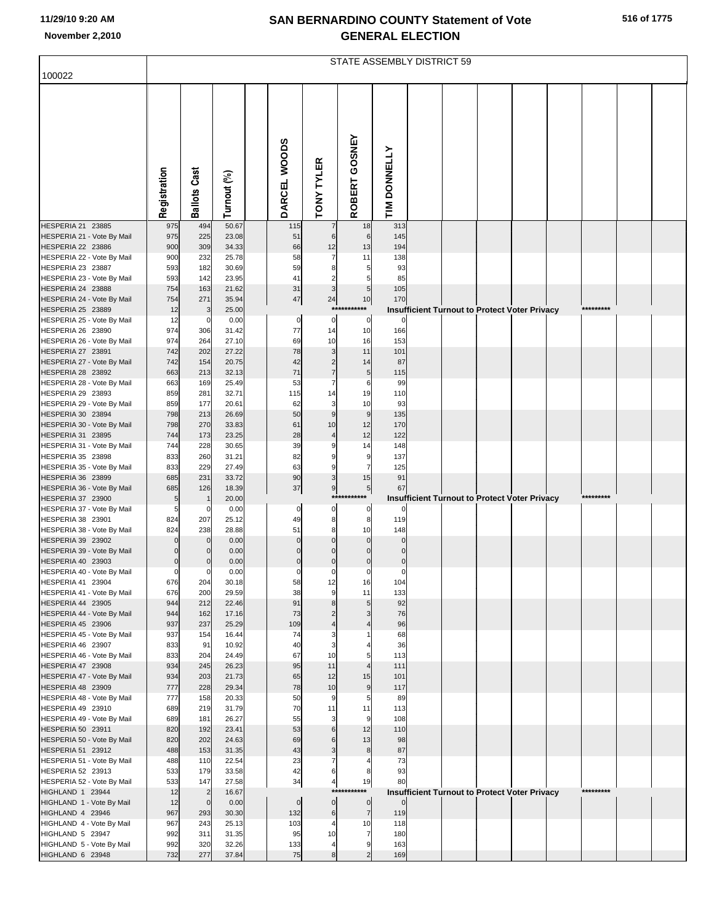|                                                 | <b>STATE ASSEMBLY DISTRICT 59</b> |                     |                |  |                |                                |                         |                 |  |  |                                                      |  |  |           |  |
|-------------------------------------------------|-----------------------------------|---------------------|----------------|--|----------------|--------------------------------|-------------------------|-----------------|--|--|------------------------------------------------------|--|--|-----------|--|
| 100022                                          |                                   |                     |                |  |                |                                |                         |                 |  |  |                                                      |  |  |           |  |
|                                                 | Registration                      | <b>Ballots Cast</b> | Turnout (%)    |  | DARCEL WOODS   | TONY TYLER                     | GOSNEY<br><b>ROBERT</b> | TIM DONNELLY    |  |  |                                                      |  |  |           |  |
| HESPERIA 21 23885                               | 975                               | 494                 | 50.67          |  | 115            | $\overline{7}$                 | 18                      | 313             |  |  |                                                      |  |  |           |  |
| HESPERIA 21 - Vote By Mail<br>HESPERIA 22 23886 | 975<br>900                        | 225<br>309          | 23.08<br>34.33 |  | 51<br>66       | $6 \overline{6}$<br>12         | 6<br>13                 | 145<br>194      |  |  |                                                      |  |  |           |  |
| HESPERIA 22 - Vote By Mail                      | 900                               | 232                 | 25.78          |  | 58             | $\overline{7}$                 | 11                      | 138             |  |  |                                                      |  |  |           |  |
| HESPERIA 23 23887                               | 593                               | 182                 | 30.69          |  | 59             | 8                              | 5                       | 93              |  |  |                                                      |  |  |           |  |
| HESPERIA 23 - Vote By Mail                      | 593                               | 142                 | 23.95          |  | 41             | $\overline{2}$                 | 5                       | 85              |  |  |                                                      |  |  |           |  |
| HESPERIA 24 23888<br>HESPERIA 24 - Vote By Mail | 754<br>754                        | 163<br>271          | 21.62<br>35.94 |  | 31<br>47       | $\mathbf{3}$<br>24             | 5<br>10                 | 105<br>170      |  |  |                                                      |  |  |           |  |
| HESPERIA 25 23889                               | 12                                | 3                   | 25.00          |  |                | **:                            | ****                    |                 |  |  | <b>Insufficient Turnout to Protect Voter Privacy</b> |  |  | ********* |  |
| HESPERIA 25 - Vote By Mail                      | 12                                | 0                   | 0.00           |  | $\pmb{0}$      | $\mathbf 0$                    | $\pmb{0}$               | 0               |  |  |                                                      |  |  |           |  |
| HESPERIA 26 23890                               | 974                               | 306                 | 31.42          |  | 77             | 14                             | 10                      | 166             |  |  |                                                      |  |  |           |  |
| HESPERIA 26 - Vote By Mail                      | 974                               | 264                 | 27.10          |  | 69             | 10                             | 16                      | 153             |  |  |                                                      |  |  |           |  |
| HESPERIA 27 23891<br>HESPERIA 27 - Vote By Mail | 742<br>742                        | 202<br>154          | 27.22<br>20.75 |  | 78<br>42       | $\mathbf{3}$<br>$\overline{2}$ | 11<br>14                | 101<br>87       |  |  |                                                      |  |  |           |  |
| HESPERIA 28 23892                               | 663                               | 213                 | 32.13          |  | 71             | $\overline{7}$                 | 5                       | 115             |  |  |                                                      |  |  |           |  |
| HESPERIA 28 - Vote By Mail                      | 663                               | 169                 | 25.49          |  | 53             | $\overline{7}$                 | 6                       | 99              |  |  |                                                      |  |  |           |  |
| HESPERIA 29 23893                               | 859                               | 281                 | 32.71          |  | 115            | 14                             | 19                      | 110             |  |  |                                                      |  |  |           |  |
| HESPERIA 29 - Vote By Mail                      | 859                               | 177                 | 20.61          |  | 62             | 3                              | 10                      | 93              |  |  |                                                      |  |  |           |  |
| HESPERIA 30 23894<br>HESPERIA 30 - Vote By Mail | 798<br>798                        | 213<br>270          | 26.69<br>33.83 |  | 50<br>61       | $\overline{9}$<br>10           | 9<br>12                 | 135<br>170      |  |  |                                                      |  |  |           |  |
| HESPERIA 31 23895                               | 744                               | 173                 | 23.25          |  | 28             | $\overline{4}$                 | 12                      | 122             |  |  |                                                      |  |  |           |  |
| HESPERIA 31 - Vote By Mail                      | 744                               | 228                 | 30.65          |  | 39             | 9                              | 14                      | 148             |  |  |                                                      |  |  |           |  |
| HESPERIA 35 23898                               | 833                               | 260                 | 31.21          |  | 82             | 9                              | 9                       | 137             |  |  |                                                      |  |  |           |  |
| HESPERIA 35 - Vote By Mail                      | 833                               | 229                 | 27.49          |  | 63             | $\boldsymbol{9}$               | 7                       | 125             |  |  |                                                      |  |  |           |  |
| HESPERIA 36 23899<br>HESPERIA 36 - Vote By Mail | 685<br>685                        | 231<br>126          | 33.72<br>18.39 |  | 90<br>37       | $\mathsf 3$<br>9               | 15<br>$5\overline{)}$   | 91<br>67        |  |  |                                                      |  |  |           |  |
| HESPERIA 37 23900                               | 5                                 | $\mathbf{1}$        | 20.00          |  |                |                                | ****                    |                 |  |  | Insufficient Turnout to Protect Voter Privacy        |  |  | ********* |  |
| HESPERIA 37 - Vote By Mail                      | 5                                 | 0                   | 0.00           |  | 0              | 0                              | 0                       |                 |  |  |                                                      |  |  |           |  |
| HESPERIA 38 23901                               | 824                               | 207                 | 25.12          |  | 49             | 8                              | 8                       | 119             |  |  |                                                      |  |  |           |  |
| HESPERIA 38 - Vote By Mail<br>HESPERIA 39 23902 | 824<br>$\Omega$                   | 238<br>$\mathbf 0$  | 28.88<br>0.00  |  | 51<br>$\Omega$ | 8<br>$\Omega$                  | 10<br>$\mathbf 0$       | 148<br>$\Omega$ |  |  |                                                      |  |  |           |  |
| HESPERIA 39 - Vote By Mail                      | $\mathbf 0$                       | $\mathbf{0}$        | 0.00           |  | $\Omega$       | $\mathbf 0$                    | $\mathbf 0$             | $\mathcal{C}$   |  |  |                                                      |  |  |           |  |
| HESPERIA 40 23903                               | $\overline{0}$                    | $\mathbf{0}$        | 0.00           |  | $\Omega$       | $\Omega$                       | $\mathbf 0$             | $\Omega$        |  |  |                                                      |  |  |           |  |
| HESPERIA 40 - Vote By Mail                      | $\mathbf 0$                       | $\mathbf{0}$        | 0.00           |  | $\mathbf 0$    | $\mathbf 0$                    | $\mathbf 0$             | 0               |  |  |                                                      |  |  |           |  |
| HESPERIA 41 23904<br>HESPERIA 41 - Vote By Mail | 676<br>676                        | 204<br>200          | 30.18<br>29.59 |  | 58<br>38       | 12<br>9                        | 16<br>11                | 104<br>133      |  |  |                                                      |  |  |           |  |
| HESPERIA 44 23905                               | 944                               | 212                 | 22.46          |  | 91             | 8                              | 5                       | 92              |  |  |                                                      |  |  |           |  |
| HESPERIA 44 - Vote By Mail                      | 944                               | 162                 | 17.16          |  | 73             | $\overline{c}$                 | 3                       | 76              |  |  |                                                      |  |  |           |  |
| HESPERIA 45 23906                               | 937                               | 237                 | 25.29          |  | 109            | $\overline{4}$                 |                         | 96              |  |  |                                                      |  |  |           |  |
| HESPERIA 45 - Vote By Mail<br>HESPERIA 46 23907 | 937<br>833                        | 154<br>91           | 16.44<br>10.92 |  | 74<br>40       | 3<br>3                         |                         | 68<br>36        |  |  |                                                      |  |  |           |  |
| HESPERIA 46 - Vote By Mail                      | 833                               | 204                 | 24.49          |  | 67             | 10                             | 5                       | 113             |  |  |                                                      |  |  |           |  |
| HESPERIA 47 23908                               | 934                               | 245                 | 26.23          |  | 95             | 11                             | $\overline{4}$          | 111             |  |  |                                                      |  |  |           |  |
| HESPERIA 47 - Vote By Mail                      | 934                               | 203                 | 21.73          |  | 65             | 12                             | 15                      | 101             |  |  |                                                      |  |  |           |  |
| HESPERIA 48 23909                               | 777                               | 228                 | 29.34          |  | 78             | 10                             | 9                       | 117             |  |  |                                                      |  |  |           |  |
| HESPERIA 48 - Vote By Mail<br>HESPERIA 49 23910 | 777<br>689                        | 158<br>219          | 20.33<br>31.79 |  | 50<br>70       | 9<br>11                        | 5<br>11                 | 89<br>113       |  |  |                                                      |  |  |           |  |
| HESPERIA 49 - Vote By Mail                      | 689                               | 181                 | 26.27          |  | 55             | $\overline{\mathbf{3}}$        | 9                       | 108             |  |  |                                                      |  |  |           |  |
| HESPERIA 50 23911                               | 820                               | 192                 | 23.41          |  | 53             | $6\phantom{1}$                 | 12                      | 110             |  |  |                                                      |  |  |           |  |
| HESPERIA 50 - Vote By Mail                      | 820                               | 202                 | 24.63          |  | 69             | 6                              | 13                      | 98              |  |  |                                                      |  |  |           |  |
| HESPERIA 51 23912                               | 488                               | 153                 | 31.35          |  | 43             | 3<br>$\overline{7}$            | 8                       | 87              |  |  |                                                      |  |  |           |  |
| HESPERIA 51 - Vote By Mail<br>HESPERIA 52 23913 | 488<br>533                        | 110<br>179          | 22.54<br>33.58 |  | 23<br>42       | 6                              | 4<br>8                  | 73<br>93        |  |  |                                                      |  |  |           |  |
| HESPERIA 52 - Vote By Mail                      | 533                               | 147                 | 27.58          |  | 34             | $\overline{4}$                 | 19                      | 80              |  |  |                                                      |  |  |           |  |
| HIGHLAND 1 23944                                | 12                                | $\overline{2}$      | 16.67          |  |                | ***                            | ***                     |                 |  |  | <b>Insufficient Turnout to Protect Voter Privacy</b> |  |  | ********* |  |
| HIGHLAND 1 - Vote By Mail                       | 12                                | $\circ$             | 0.00           |  | $\mathbf 0$    | $\overline{0}$                 | $\overline{0}$          | $\mathbf 0$     |  |  |                                                      |  |  |           |  |
| HIGHLAND 4 23946<br>HIGHLAND 4 - Vote By Mail   | 967                               | 293<br>243          | 30.30<br>25.13 |  | 132<br>103     | $\,$ 6                         | $\overline{7}$<br>10    | 119             |  |  |                                                      |  |  |           |  |
| HIGHLAND 5 23947                                | 967<br>992                        | 311                 | 31.35          |  | 95             | $\overline{4}$<br>10           | $\overline{7}$          | 118<br>180      |  |  |                                                      |  |  |           |  |
| HIGHLAND 5 - Vote By Mail                       | 992                               | 320                 | 32.26          |  | 133            | $\overline{4}$                 | 9                       | 163             |  |  |                                                      |  |  |           |  |
| HIGHLAND 6 23948                                | 732                               | 277                 | 37.84          |  | 75             | 8                              | $\overline{2}$          | 169             |  |  |                                                      |  |  |           |  |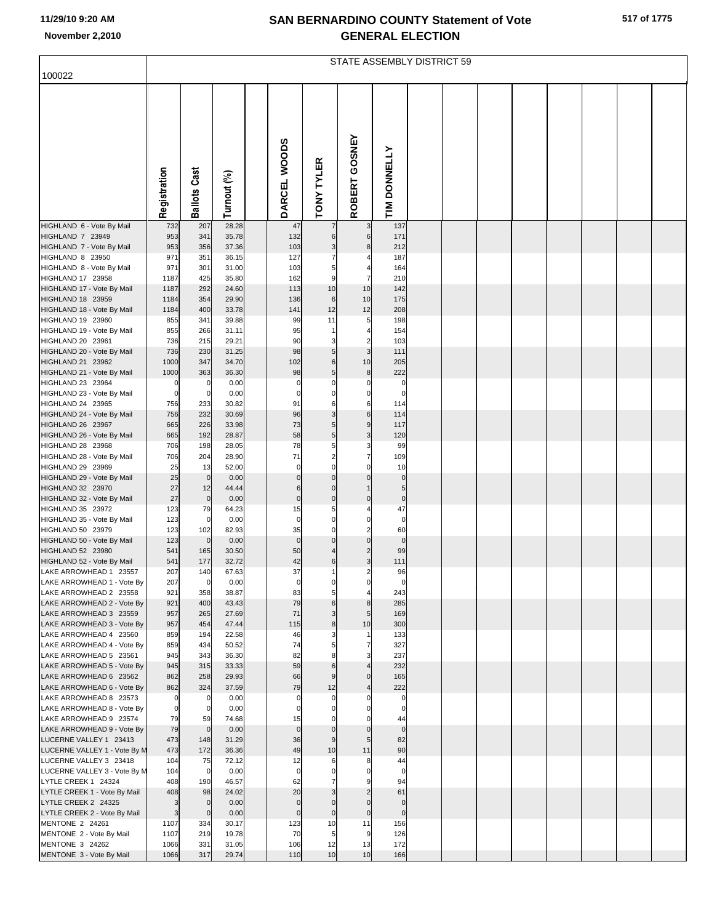|  | 517 of 1775 |
|--|-------------|
|  |             |

|                                                      | STATE ASSEMBLY DISTRICT 59 |                     |                |  |                   |                            |                               |                    |  |  |  |  |  |  |  |
|------------------------------------------------------|----------------------------|---------------------|----------------|--|-------------------|----------------------------|-------------------------------|--------------------|--|--|--|--|--|--|--|
| 100022                                               |                            |                     |                |  |                   |                            |                               |                    |  |  |  |  |  |  |  |
|                                                      | Registration               | <b>Ballots Cast</b> | Turnout (%)    |  | DARCEL WOODS      | <b>TONY TYLER</b>          | ROBERT GOSNEY                 | TIM DONNELLY       |  |  |  |  |  |  |  |
| HIGHLAND 6 - Vote By Mail                            | 732                        | 207                 | 28.28          |  | 47                |                            | 3                             | 137                |  |  |  |  |  |  |  |
| HIGHLAND 7 23949                                     | 953                        | 341                 | 35.78          |  | 132               | 6                          | 6                             | 171                |  |  |  |  |  |  |  |
| HIGHLAND 7 - Vote By Mail                            | 953                        | 356                 | 37.36          |  | 103               | 3                          | $\bf8$                        | 212                |  |  |  |  |  |  |  |
| HIGHLAND 8 23950<br>HIGHLAND 8 - Vote By Mail        | 971<br>971                 | 351<br>301          | 36.15<br>31.00 |  | 127<br>103        | 5                          | 4                             | 187<br>164         |  |  |  |  |  |  |  |
| HIGHLAND 17 23958                                    | 1187                       | 425                 | 35.80          |  | 162               | 9                          | $\overline{7}$                | 210                |  |  |  |  |  |  |  |
| HIGHLAND 17 - Vote By Mail                           | 1187                       | 292                 | 24.60          |  | 113               | 10                         | 10                            | 142                |  |  |  |  |  |  |  |
| HIGHLAND 18 23959                                    | 1184                       | 354                 | 29.90          |  | 136               | 6                          | 10                            | 175                |  |  |  |  |  |  |  |
| HIGHLAND 18 - Vote By Mail                           | 1184                       | 400                 | 33.78          |  | 141               | 12                         | 12                            | 208                |  |  |  |  |  |  |  |
| HIGHLAND 19 23960<br>HIGHLAND 19 - Vote By Mail      | 855<br>855                 | 341<br>266          | 39.88<br>31.11 |  | 99<br>95          | 11                         | 5<br>$\overline{4}$           | 198<br>154         |  |  |  |  |  |  |  |
| HIGHLAND 20 23961                                    | 736                        | 215                 | 29.21          |  | 90                | 3                          | $\overline{2}$                | 103                |  |  |  |  |  |  |  |
| HIGHLAND 20 - Vote By Mail                           | 736                        | 230                 | 31.25          |  | 98                | $\overline{5}$             | $\mathbf{3}$                  | 111                |  |  |  |  |  |  |  |
| HIGHLAND 21 23962                                    | 1000                       | 347                 | 34.70          |  | 102               | 6                          | 10                            | 205                |  |  |  |  |  |  |  |
| HIGHLAND 21 - Vote By Mail<br>HIGHLAND 23 23964      | 1000<br>$\mathbf 0$        | 363<br>$\mathbf 0$  | 36.30<br>0.00  |  | 98<br>$\mathbf 0$ | $\overline{5}$<br>$\Omega$ | 8<br>0                        | 222<br>$\mathbf 0$ |  |  |  |  |  |  |  |
| HIGHLAND 23 - Vote By Mail                           | $\mathbf 0$                | $\mathbf 0$         | 0.00           |  | $\mathbf 0$       | $\mathbf 0$                | $\mathbf 0$                   | $\mathbf 0$        |  |  |  |  |  |  |  |
| HIGHLAND 24 23965                                    | 756                        | 233                 | 30.82          |  | 91                | 6                          | 6                             | 114                |  |  |  |  |  |  |  |
| HIGHLAND 24 - Vote By Mail                           | 756                        | 232                 | 30.69          |  | 96                | $\mathsf 3$                | $\mathbf 6$                   | 114                |  |  |  |  |  |  |  |
| HIGHLAND 26 23967                                    | 665                        | 226                 | 33.98          |  | 73                | 5                          | $\boldsymbol{9}$              | 117                |  |  |  |  |  |  |  |
| HIGHLAND 26 - Vote By Mail<br>HIGHLAND 28 23968      | 665<br>706                 | 192<br>198          | 28.87<br>28.05 |  | 58<br>78          | $\overline{5}$<br>5        | $\mathsf 3$<br>3              | 120<br>99          |  |  |  |  |  |  |  |
| HIGHLAND 28 - Vote By Mail                           | 706                        | 204                 | 28.90          |  | 71                | $\overline{a}$             | 7                             | 109                |  |  |  |  |  |  |  |
| HIGHLAND 29 23969                                    | 25                         | 13                  | 52.00          |  | $\mathbf 0$       | $\Omega$                   | $\Omega$                      | 10                 |  |  |  |  |  |  |  |
| HIGHLAND 29 - Vote By Mail                           | 25                         | $\mathbf 0$         | 0.00           |  | $\Omega$          | $\mathbf 0$                | $\mathbf 0$                   | $\pmb{0}$          |  |  |  |  |  |  |  |
| HIGHLAND 32 23970<br>HIGHLAND 32 - Vote By Mail      | 27<br>27                   | 12<br>$\mathbf 0$   | 44.44<br>0.00  |  | 6<br>$\mathbf 0$  | $\mathbf 0$<br>$\mathbf 0$ | $\mathbf{1}$<br>$\mathbf 0$   | 5<br>$\mathbf 0$   |  |  |  |  |  |  |  |
| HIGHLAND 35 23972                                    | 123                        | 79                  | 64.23          |  | 15                | 5                          | 4                             | 47                 |  |  |  |  |  |  |  |
| HIGHLAND 35 - Vote By Mail                           | 123                        | $\mathbf 0$         | 0.00           |  | $\mathbf 0$       | $\mathbf 0$                | $\mathbf 0$                   | $\mathbf 0$        |  |  |  |  |  |  |  |
| HIGHLAND 50 23979                                    | 123                        | 102                 | 82.93          |  | 35                | $\mathbf 0$                | $\overline{2}$                | 60                 |  |  |  |  |  |  |  |
| HIGHLAND 50 - Vote By Mail<br>HIGHLAND 52 23980      | 123<br>541                 | $\mathbf 0$<br>165  | 0.00<br>30.50  |  | $\mathbf 0$<br>50 | $\mathbf 0$<br>4           | $\mathbf 0$<br>$\overline{c}$ | $\mathbf 0$<br>99  |  |  |  |  |  |  |  |
| HIGHLAND 52 - Vote By Mail                           | 541                        | 177                 | 32.72          |  | 42                | 6                          | $\overline{3}$                | 111                |  |  |  |  |  |  |  |
| LAKE ARROWHEAD 1 23557                               | 207                        | 140                 | 67.63          |  | 37                | 1                          | $\mathcal{P}$                 | 96                 |  |  |  |  |  |  |  |
| LAKE ARROWHEAD 1 - Vote By                           | 207                        | $\mathbf 0$         | 0.00           |  | 0                 |                            | 0                             | $\mathbf 0$        |  |  |  |  |  |  |  |
| LAKE ARROWHEAD 2 23558                               | 921                        | 358                 | 38.87          |  | 83                |                            |                               | 243                |  |  |  |  |  |  |  |
| LAKE ARROWHEAD 2 - Vote By<br>LAKE ARROWHEAD 3 23559 | 921<br>957                 | 400<br>265          | 43.43<br>27.69 |  | 79<br>71          | 6<br>3                     | 8<br>5                        | 285<br>169         |  |  |  |  |  |  |  |
| LAKE ARROWHEAD 3 - Vote By                           | 957                        | 454                 | 47.44          |  | 115               | 8                          | 10                            | 300                |  |  |  |  |  |  |  |
| LAKE ARROWHEAD 4 23560                               | 859                        | 194                 | 22.58          |  | 46                |                            |                               | 133                |  |  |  |  |  |  |  |
| LAKE ARROWHEAD 4 - Vote By                           | 859                        | 434                 | 50.52          |  | 74                | 5                          | 7                             | 327                |  |  |  |  |  |  |  |
| LAKE ARROWHEAD 5 23561<br>LAKE ARROWHEAD 5 - Vote By | 945<br>945                 | 343<br>315          | 36.30<br>33.33 |  | 82<br>59          | 6                          | 3                             | 237<br>232         |  |  |  |  |  |  |  |
| LAKE ARROWHEAD 6 23562                               | 862                        | 258                 | 29.93          |  | 66                | 9                          | $\mathbf 0$                   | 165                |  |  |  |  |  |  |  |
| LAKE ARROWHEAD 6 - Vote By                           | 862                        | 324                 | 37.59          |  | 79                | 12                         |                               | 222                |  |  |  |  |  |  |  |
| LAKE ARROWHEAD 8 23573                               | $\mathbf 0$                | $\mathbf 0$         | 0.00           |  | 0                 |                            |                               | 0                  |  |  |  |  |  |  |  |
| LAKE ARROWHEAD 8 - Vote By<br>LAKE ARROWHEAD 9 23574 | $\mathbf 0$<br>79          | 0<br>59             | 0.00<br>74.68  |  | 0<br>15           |                            | 0                             | 0<br>44            |  |  |  |  |  |  |  |
| LAKE ARROWHEAD 9 - Vote By                           | 79                         | $\mathbf 0$         | 0.00           |  | $\mathbf 0$       | $\mathbf 0$                | $\pmb{0}$                     | $\mathbf 0$        |  |  |  |  |  |  |  |
| LUCERNE VALLEY 1 23413                               | 473                        | 148                 | 31.29          |  | 36                | 9                          | 5                             | 82                 |  |  |  |  |  |  |  |
| LUCERNE VALLEY 1 - Vote By M                         | 473                        | 172                 | 36.36          |  | 49                | 10                         | 11                            | 90                 |  |  |  |  |  |  |  |
| LUCERNE VALLEY 3 23418                               | 104                        | 75                  | 72.12          |  | 12<br>$\mathbf 0$ |                            | 8<br>0                        | 44<br>$\mathbf 0$  |  |  |  |  |  |  |  |
| LUCERNE VALLEY 3 - Vote By M<br>LYTLE CREEK 1 24324  | 104<br>408                 | 0<br>190            | 0.00<br>46.57  |  | 62                |                            |                               | 94                 |  |  |  |  |  |  |  |
| LYTLE CREEK 1 - Vote By Mail                         | 408                        | 98                  | 24.02          |  | 20                |                            | $\overline{2}$                | 61                 |  |  |  |  |  |  |  |
| LYTLE CREEK 2 24325                                  | 3                          | $\mathbf 0$         | 0.00           |  | $\mathbf 0$       | $\mathbf 0$                | $\mathbf 0$                   | $\mathbf 0$        |  |  |  |  |  |  |  |
| LYTLE CREEK 2 - Vote By Mail                         | 3                          | $\mathbf 0$         | 0.00           |  | 0                 | $\pmb{0}$                  | $\pmb{0}$                     | $\mathbf 0$        |  |  |  |  |  |  |  |
| MENTONE 2 24261<br>MENTONE 2 - Vote By Mail          | 1107<br>1107               | 334<br>219          | 30.17<br>19.78 |  | 123<br>70         | 10<br>5                    | 11<br>9                       | 156<br>126         |  |  |  |  |  |  |  |
| MENTONE 3 24262                                      | 1066                       | 331                 | 31.05          |  | 106               | 12                         | 13                            | 172                |  |  |  |  |  |  |  |
| MENTONE 3 - Vote By Mail                             | 1066                       | 317                 | 29.74          |  | 110               | 10                         | 10                            | 166                |  |  |  |  |  |  |  |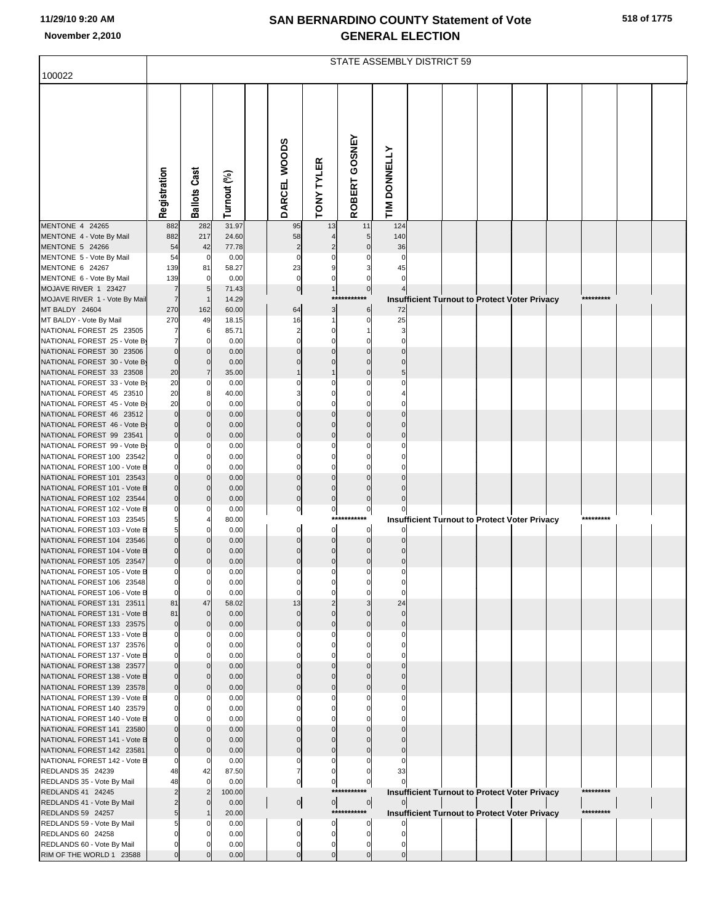|  | 518 of 1775 |
|--|-------------|
|  |             |

|                                                           | STATE ASSEMBLY DISTRICT 59    |                   |                |  |                            |                                  |                            |                      |  |  |  |                                                      |  |           |  |
|-----------------------------------------------------------|-------------------------------|-------------------|----------------|--|----------------------------|----------------------------------|----------------------------|----------------------|--|--|--|------------------------------------------------------|--|-----------|--|
| 100022                                                    |                               |                   |                |  |                            |                                  |                            |                      |  |  |  |                                                      |  |           |  |
|                                                           | Registration                  | Cast<br>Ballots   | Turnout (%)    |  | DARCEL WOODS               | <b>TONY TYLER</b>                | ROBERT GOSNEY              | TIM DONNELLY         |  |  |  |                                                      |  |           |  |
| MENTONE 4 24265                                           | 882                           | 282               | 31.97          |  | 95                         | 13                               | 11                         | 124                  |  |  |  |                                                      |  |           |  |
| MENTONE 4 - Vote By Mail                                  | 882                           | 217               | 24.60          |  | 58                         |                                  | 5                          | 140                  |  |  |  |                                                      |  |           |  |
| MENTONE 5 24266<br>MENTONE 5 - Vote By Mail               | 54<br>54                      | 42<br>$\mathbf 0$ | 77.78<br>0.00  |  | $\overline{c}$<br>$\Omega$ | $\overline{c}$<br>$\mathbf 0$    | $\mathbf 0$<br>$\Omega$    | 36<br>$\Omega$       |  |  |  |                                                      |  |           |  |
| MENTONE 6 24267                                           | 139                           | 81                | 58.27          |  | 23                         | 9                                | 3                          | 45                   |  |  |  |                                                      |  |           |  |
| MENTONE 6 - Vote By Mail                                  | 139                           | $\Omega$          | 0.00           |  | $\mathbf 0$                | $\mathbf 0$                      | 0                          |                      |  |  |  |                                                      |  |           |  |
| MOJAVE RIVER 1 23427                                      | $\overline{7}$                | 5                 | 71.43          |  | $\overline{0}$             | 1<br>$***$                       | $\overline{0}$             |                      |  |  |  |                                                      |  | ********* |  |
| MOJAVE RIVER 1 - Vote By Mail<br>MT BALDY 24604           | $\overline{7}$<br>270         | 162               | 14.29<br>60.00 |  | 64                         | 3                                | 6                          | 72                   |  |  |  | Insufficient Turnout to Protect Voter Privacy        |  |           |  |
| MT BALDY - Vote By Mail                                   | 270                           | 49                | 18.15          |  | 16                         | $\mathbf{1}$                     | 0                          | 25                   |  |  |  |                                                      |  |           |  |
| NATIONAL FOREST 25 23505                                  |                               | 6                 | 85.71          |  | $\overline{2}$             | $\mathbf 0$                      | 1                          | 3                    |  |  |  |                                                      |  |           |  |
| NATIONAL FOREST 25 - Vote By<br>NATIONAL FOREST 30 23506  | $\overline{7}$<br>$\mathbf 0$ |                   | 0.00<br>0.00   |  | $\Omega$                   | $\mathbf 0$<br>$\mathbf 0$       | $\mathbf 0$<br>$\mathbf 0$ | $\Omega$<br>$\Omega$ |  |  |  |                                                      |  |           |  |
| NATIONAL FOREST 30 - Vote By                              | $\mathbf 0$                   | C                 | 0.00           |  |                            | $\mathbf 0$                      | $\mathbf 0$                |                      |  |  |  |                                                      |  |           |  |
| NATIONAL FOREST 33 23508                                  | 20                            | $\overline{7}$    | 35.00          |  |                            |                                  | $\mathbf 0$                | 5                    |  |  |  |                                                      |  |           |  |
| NATIONAL FOREST 33 - Vote By                              | 20                            | C                 | 0.00           |  |                            | 0                                | $\Omega$                   |                      |  |  |  |                                                      |  |           |  |
| NATIONAL FOREST 45 23510<br>NATIONAL FOREST 45 - Vote By  | 20<br>20                      | 8<br>C            | 40.00<br>0.00  |  |                            | $\mathbf 0$<br>$\mathbf 0$       | $\Omega$<br>$\Omega$       |                      |  |  |  |                                                      |  |           |  |
| NATIONAL FOREST 46 23512                                  | $\mathbf 0$                   |                   | 0.00           |  | $\Omega$                   | $\mathbf 0$                      | $\mathbf 0$                |                      |  |  |  |                                                      |  |           |  |
| NATIONAL FOREST 46 - Vote By                              | $\overline{0}$                |                   | 0.00           |  |                            | $\mathbf 0$                      | $\mathbf 0$                |                      |  |  |  |                                                      |  |           |  |
| NATIONAL FOREST 99 23541<br>NATIONAL FOREST 99 - Vote B   | $\overline{0}$<br>$\Omega$    |                   | 0.00<br>0.00   |  | $\Omega$                   | $\mathbf 0$<br>$\mathbf 0$       | $\mathbf 0$<br>$\mathbf 0$ | $\Omega$             |  |  |  |                                                      |  |           |  |
| NATIONAL FOREST 100 23542                                 | $\Omega$                      |                   | 0.00           |  |                            | $\mathbf 0$                      | $\Omega$                   |                      |  |  |  |                                                      |  |           |  |
| NATIONAL FOREST 100 - Vote B                              | $\Omega$                      |                   | 0.00           |  |                            | $\mathbf 0$                      | $\Omega$                   |                      |  |  |  |                                                      |  |           |  |
| NATIONAL FOREST 101 23543                                 | $\Omega$                      |                   | 0.00           |  | $\Omega$                   | $\mathbf 0$                      | $\Omega$                   |                      |  |  |  |                                                      |  |           |  |
| NATIONAL FOREST 101 - Vote B<br>NATIONAL FOREST 102 23544 | $\Omega$<br>$\mathbf 0$       |                   | 0.00<br>0.00   |  | $\mathbf 0$<br>$\pmb{0}$   | $\pmb{0}$<br>$\overline{0}$      | $\mathbf 0$<br>$\bf 0$     |                      |  |  |  |                                                      |  |           |  |
| NATIONAL FOREST 102 - Vote B                              | $\Omega$                      |                   | 0.00           |  | $\pmb{0}$                  | $\overline{0}$                   | $\overline{0}$             |                      |  |  |  |                                                      |  |           |  |
| NATIONAL FOREST 103 23545                                 | 5                             |                   | 80.00          |  |                            | ***                              |                            |                      |  |  |  | <b>Insufficient Turnout to Protect Voter Privacy</b> |  | ********* |  |
| NATIONAL FOREST 103 - Vote B                              | 5<br>$\Omega$                 |                   | 0.00           |  | $\mathbf 0$<br>$\mathbf 0$ | $\overline{0}$<br>$\overline{0}$ | 0<br>$\mathbf 0$           |                      |  |  |  |                                                      |  |           |  |
| NATIONAL FOREST 104 23546<br>NATIONAL FOREST 104 - Vote B | $\Omega$                      |                   | 0.00<br>0.00   |  | 0                          | $\mathbf 0$                      | $\mathbf 0$                |                      |  |  |  |                                                      |  |           |  |
| NATIONAL FOREST 105 23547                                 | $\overline{0}$                | C                 | 0.00           |  | $\pmb{0}$                  | $\overline{0}$                   | $\bf 0$                    |                      |  |  |  |                                                      |  |           |  |
| NATIONAL FOREST 105 - Vote B                              |                               |                   | 0.00           |  |                            |                                  |                            |                      |  |  |  |                                                      |  |           |  |
| NATIONAL FOREST 106 23548<br>NATIONAL FOREST 106 - Vote B | $\mathbf 0$<br>0              | 0                 | 0.00<br>0.00   |  | 0                          | 0<br>0                           | 0                          | $\Omega$             |  |  |  |                                                      |  |           |  |
| NATIONAL FOREST 131 23511                                 | 81                            | 47                | 58.02          |  | 13                         | $\overline{2}$                   | 3                          | 24                   |  |  |  |                                                      |  |           |  |
| NATIONAL FOREST 131 - Vote B                              | 81                            | $\mathbf 0$       | 0.00           |  | 0                          | $\mathbf 0$                      | $\mathbf 0$                |                      |  |  |  |                                                      |  |           |  |
| NATIONAL FOREST 133 23575<br>NATIONAL FOREST 133 - Vote B | $\mathbf 0$<br>0              | C                 | 0.00<br>0.00   |  | $\mathbf 0$                | $\pmb{0}$<br>0                   | $\pmb{0}$<br>0             | $\mathbf 0$          |  |  |  |                                                      |  |           |  |
| NATIONAL FOREST 137 23576                                 | $\Omega$                      |                   | 0.00           |  |                            | 0                                | 0                          |                      |  |  |  |                                                      |  |           |  |
| NATIONAL FOREST 137 - Vote B                              | $\Omega$                      |                   | 0.00           |  |                            | 0                                |                            |                      |  |  |  |                                                      |  |           |  |
| NATIONAL FOREST 138 23577                                 | $\Omega$                      |                   | 0.00           |  |                            | $\mathbf 0$                      | $\mathbf 0$                |                      |  |  |  |                                                      |  |           |  |
| NATIONAL FOREST 138 - Vote B<br>NATIONAL FOREST 139 23578 | 0<br>$\mathbf 0$              |                   | 0.00<br>0.00   |  | $\mathbf 0$                | $\mathbf 0$<br>$\pmb{0}$         | $\mathbf 0$<br>$\mathbf 0$ |                      |  |  |  |                                                      |  |           |  |
| NATIONAL FOREST 139 - Vote B                              | 0                             |                   | 0.00           |  |                            | 0                                |                            |                      |  |  |  |                                                      |  |           |  |
| NATIONAL FOREST 140 23579                                 | $\Omega$                      |                   | 0.00           |  |                            | 0                                | 0                          |                      |  |  |  |                                                      |  |           |  |
| NATIONAL FOREST 140 - Vote B<br>NATIONAL FOREST 141 23580 |                               |                   | 0.00<br>0.00   |  |                            | 0<br>$\mathbf 0$                 | 0                          |                      |  |  |  |                                                      |  |           |  |
| NATIONAL FOREST 141 - Vote B                              | 0                             |                   | 0.00           |  |                            | $\mathbf 0$                      |                            |                      |  |  |  |                                                      |  |           |  |
| NATIONAL FOREST 142 23581                                 | 0                             |                   | 0.00           |  | $\mathbf 0$                | $\pmb{0}$                        | $\mathbf 0$                |                      |  |  |  |                                                      |  |           |  |
| NATIONAL FOREST 142 - Vote B                              | 0                             | C                 | 0.00           |  | 0                          | 0                                | 0                          |                      |  |  |  |                                                      |  |           |  |
| REDLANDS 35 24239<br>REDLANDS 35 - Vote By Mail           | 48<br>48                      | 42<br>C           | 87.50<br>0.00  |  | 7<br>$\overline{0}$        | $\pmb{0}$<br>$\mathbf{0}$        | 0<br>$\overline{0}$        | 33                   |  |  |  |                                                      |  |           |  |
| REDLANDS 41 24245                                         |                               | 2                 | 100.00         |  |                            | ***:                             | *******                    |                      |  |  |  | <b>Insufficient Turnout to Protect Voter Privacy</b> |  | ********* |  |
| REDLANDS 41 - Vote By Mail                                |                               |                   | 0.00           |  | $\mathbf{0}$               | $\circ$                          | $\overline{0}$             |                      |  |  |  |                                                      |  |           |  |
| REDLANDS 59 24257                                         | 5                             |                   | 20.00<br>0.00  |  |                            | 0                                | ***********                |                      |  |  |  | <b>Insufficient Turnout to Protect Voter Privacy</b> |  | ********* |  |
| REDLANDS 59 - Vote By Mail<br>REDLANDS 60 24258           |                               |                   | 0.00           |  | 0<br>$\mathbf 0$           | $\overline{0}$                   | 0<br>0                     |                      |  |  |  |                                                      |  |           |  |
| REDLANDS 60 - Vote By Mail                                |                               |                   | 0.00           |  | 0                          | 0                                | 0                          |                      |  |  |  |                                                      |  |           |  |
| RIM OF THE WORLD 1 23588                                  | $\Omega$                      |                   | 0.00           |  | $\pmb{0}$                  | $\pmb{0}$                        | $\pmb{0}$                  | $\mathbf 0$          |  |  |  |                                                      |  |           |  |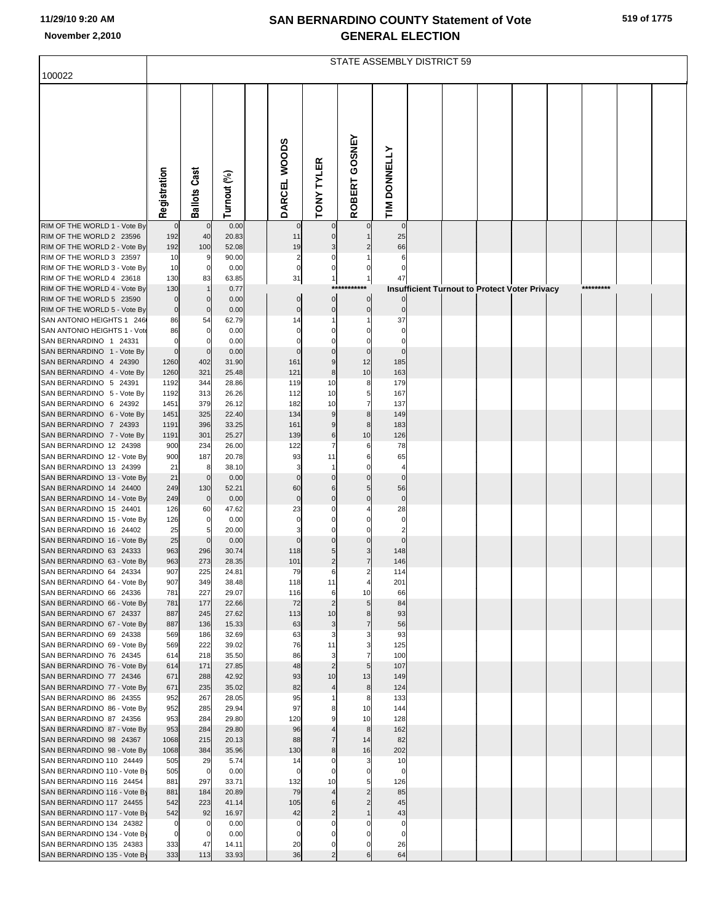|  |  | 519 of 1775 |
|--|--|-------------|
|--|--|-------------|

|                                                          | <b>STATE ASSEMBLY DISTRICT 59</b> |                     |                |  |                   |                         |                      |                            |  |  |  |                                                      |  |           |  |  |
|----------------------------------------------------------|-----------------------------------|---------------------|----------------|--|-------------------|-------------------------|----------------------|----------------------------|--|--|--|------------------------------------------------------|--|-----------|--|--|
| 100022                                                   |                                   |                     |                |  |                   |                         |                      |                            |  |  |  |                                                      |  |           |  |  |
|                                                          |                                   |                     |                |  |                   |                         |                      |                            |  |  |  |                                                      |  |           |  |  |
|                                                          |                                   |                     |                |  |                   |                         |                      |                            |  |  |  |                                                      |  |           |  |  |
|                                                          |                                   |                     |                |  |                   |                         |                      |                            |  |  |  |                                                      |  |           |  |  |
|                                                          |                                   |                     |                |  |                   |                         |                      |                            |  |  |  |                                                      |  |           |  |  |
|                                                          |                                   |                     |                |  |                   |                         | GOSNEY               |                            |  |  |  |                                                      |  |           |  |  |
|                                                          |                                   |                     |                |  |                   |                         |                      |                            |  |  |  |                                                      |  |           |  |  |
|                                                          |                                   |                     |                |  |                   |                         |                      |                            |  |  |  |                                                      |  |           |  |  |
|                                                          |                                   |                     |                |  |                   |                         |                      |                            |  |  |  |                                                      |  |           |  |  |
|                                                          | Registration                      | <b>Ballots Cast</b> | Turnout (%)    |  | DARCEL WOODS      | <b>TONY TYLER</b>       | ROBERT               | TIM DONNELLY               |  |  |  |                                                      |  |           |  |  |
| RIM OF THE WORLD 1 - Vote By                             | $\mathbf 0$                       | $\mathbf 0$         | 0.00           |  | $\mathbf 0$       |                         |                      | $\mathbf 0$                |  |  |  |                                                      |  |           |  |  |
| RIM OF THE WORLD 2 23596                                 | 192                               | 40                  | 20.83          |  | 11                | $\mathbf 0$             |                      | 25                         |  |  |  |                                                      |  |           |  |  |
| RIM OF THE WORLD 2 - Vote By<br>RIM OF THE WORLD 3 23597 | 192<br>10                         | 100<br>9            | 52.08<br>90.00 |  | 19<br>2           | 3<br>0                  |                      | 66<br>6                    |  |  |  |                                                      |  |           |  |  |
| RIM OF THE WORLD 3 - Vote By                             | 10                                | $\mathbf 0$         | 0.00           |  | 0                 | 0                       | 0                    | $\mathbf 0$                |  |  |  |                                                      |  |           |  |  |
| RIM OF THE WORLD 4 23618                                 | 130                               | 83                  | 63.85          |  | 31                | 1                       |                      | 47                         |  |  |  |                                                      |  |           |  |  |
| RIM OF THE WORLD 4 - Vote By<br>RIM OF THE WORLD 5 23590 | 130<br>0                          | $\mathbf 0$         | 0.77<br>0.00   |  | $\overline{0}$    | ***<br>$\mathbf 0$      | $\pmb{0}$            |                            |  |  |  | <b>Insufficient Turnout to Protect Voter Privacy</b> |  | ********* |  |  |
| RIM OF THE WORLD 5 - Vote By                             | 0                                 | $\mathbf 0$         | 0.00           |  | $\overline{0}$    | $\pmb{0}$               | $\pmb{0}$            | $\mathbf 0$                |  |  |  |                                                      |  |           |  |  |
| SAN ANTONIO HEIGHTS 1 246                                | 86                                | 54                  | 62.79          |  | 14                |                         |                      | 37                         |  |  |  |                                                      |  |           |  |  |
| SAN ANTONIO HEIGHTS 1 - Vote<br>SAN BERNARDINO 1 24331   | 86<br>$\Omega$                    | 0<br>$\Omega$       | 0.00<br>0.00   |  | 0                 | 0                       | 0<br>$\mathbf 0$     | $\mathbf 0$<br>$\mathbf 0$ |  |  |  |                                                      |  |           |  |  |
| SAN BERNARDINO 1 - Vote By                               | 0                                 | $\mathbf 0$         | 0.00           |  |                   | $\mathbf 0$             | $\pmb{0}$            | $\mathbf 0$                |  |  |  |                                                      |  |           |  |  |
| SAN BERNARDINO 4 24390                                   | 1260                              | 402                 | 31.90          |  | 161               | 9                       | 12                   | 185                        |  |  |  |                                                      |  |           |  |  |
| SAN BERNARDINO 4 - Vote By<br>SAN BERNARDINO 5 24391     | 1260<br>1192                      | 321<br>344          | 25.48<br>28.86 |  | 121<br>119        | 8<br>10                 | 10<br>8              | 163<br>179                 |  |  |  |                                                      |  |           |  |  |
| SAN BERNARDINO 5 - Vote By                               | 1192                              | 313                 | 26.26          |  | 112               | 10                      | 5                    | 167                        |  |  |  |                                                      |  |           |  |  |
| SAN BERNARDINO 6 24392                                   | 1451                              | 379                 | 26.12          |  | 182               | 10                      | $\overline{7}$       | 137                        |  |  |  |                                                      |  |           |  |  |
| SAN BERNARDINO 6 - Vote By<br>SAN BERNARDINO 7 24393     | 1451<br>1191                      | 325<br>396          | 22.40<br>33.25 |  | 134<br>161        | 9<br>9                  | 8<br>$\bf8$          | 149<br>183                 |  |  |  |                                                      |  |           |  |  |
| SAN BERNARDINO 7 - Vote By                               | 1191                              | 301                 | 25.27          |  | 139               | 6                       | 10                   | 126                        |  |  |  |                                                      |  |           |  |  |
| SAN BERNARDINO 12 24398                                  | 900                               | 234                 | 26.00          |  | 122               | 7                       | 6                    | 78                         |  |  |  |                                                      |  |           |  |  |
| SAN BERNARDINO 12 - Vote By<br>SAN BERNARDINO 13 24399   | 900<br>21                         | 187<br>8            | 20.78<br>38.10 |  | 93<br>3           | 11<br>1                 | 6<br>$\mathbf 0$     | 65<br>$\overline{4}$       |  |  |  |                                                      |  |           |  |  |
| SAN BERNARDINO 13 - Vote By                              | 21                                | $\mathbf 0$         | 0.00           |  | $\Omega$          | $\mathbf 0$             | $\mathbf 0$          | $\mathbf 0$                |  |  |  |                                                      |  |           |  |  |
| SAN BERNARDINO 14 24400                                  | 249                               | 130                 | 52.21          |  | 60                | 6                       | $\overline{5}$       | 56                         |  |  |  |                                                      |  |           |  |  |
| SAN BERNARDINO 14 - Vote By<br>SAN BERNARDINO 15 24401   | 249<br>126                        | $\mathbf 0$<br>60   | 0.00<br>47.62  |  | $\mathbf 0$<br>23 | $\overline{0}$<br>0     | $\pmb{0}$            | $\pmb{0}$<br>28            |  |  |  |                                                      |  |           |  |  |
| SAN BERNARDINO 15 - Vote By                              | 126                               | 0                   | 0.00           |  | 0                 |                         |                      | $\mathbf 0$                |  |  |  |                                                      |  |           |  |  |
| SAN BERNARDINO 16 24402                                  | 25                                | 5                   | 20.00          |  | 3                 | $\Omega$                | 0                    | $\overline{\mathbf{c}}$    |  |  |  |                                                      |  |           |  |  |
| SAN BERNARDINO 16 - Vote By<br>SAN BERNARDINO 63 24333   | 25<br>963                         | $\mathbf 0$<br>296  | 0.00<br>30.74  |  | 118               | 5                       | $\mathbf 0$<br>3     | $\Omega$<br>148            |  |  |  |                                                      |  |           |  |  |
| SAN BERNARDINO 63 - Vote By                              | 963                               | 273                 | 28.35          |  | 101               | $\overline{\mathbf{c}}$ | $\overline{7}$       | 146                        |  |  |  |                                                      |  |           |  |  |
| SAN BERNARDINO 64 24334                                  | 907                               | 225                 | 24.81          |  | 79                |                         |                      | 114                        |  |  |  |                                                      |  |           |  |  |
| SAN BERNARDINO 64 - Vote By<br>SAN BERNARDINO 66 24336   | 907<br>781                        | 349<br>227          | 38.48<br>29.07 |  | 118<br>116        | 11<br>6                 | $\overline{4}$<br>10 | 201<br>66                  |  |  |  |                                                      |  |           |  |  |
| SAN BERNARDINO 66 - Vote By                              | 781                               | 177                 | 22.66          |  | 72                | $\overline{2}$          | 5                    | 84                         |  |  |  |                                                      |  |           |  |  |
| SAN BERNARDINO 67 24337                                  | 887                               | 245                 | 27.62          |  | 113               | 10                      | 8                    | 93                         |  |  |  |                                                      |  |           |  |  |
| SAN BERNARDINO 67 - Vote By<br>SAN BERNARDINO 69 24338   | 887<br>569                        | 136<br>186          | 15.33<br>32.69 |  | 63<br>63          | 3<br>3                  | $\overline{7}$<br>3  | 56<br>93                   |  |  |  |                                                      |  |           |  |  |
| SAN BERNARDINO 69 - Vote By                              | 569                               | 222                 | 39.02          |  | 76                | 11                      | 3                    | 125                        |  |  |  |                                                      |  |           |  |  |
| SAN BERNARDINO 76 24345                                  | 614                               | 218                 | 35.50          |  | 86                | 3                       | 7                    | 100                        |  |  |  |                                                      |  |           |  |  |
| SAN BERNARDINO 76 - Vote By<br>SAN BERNARDINO 77 24346   | 614<br>671                        | 171<br>288          | 27.85<br>42.92 |  | 48<br>93          | $\overline{2}$<br>10    | 5 <sub>l</sub><br>13 | 107<br>149                 |  |  |  |                                                      |  |           |  |  |
| SAN BERNARDINO 77 - Vote By                              | 671                               | 235                 | 35.02          |  | 82                | 4                       | $\boldsymbol{8}$     | 124                        |  |  |  |                                                      |  |           |  |  |
| SAN BERNARDINO 86 24355<br>SAN BERNARDINO 86 - Vote By   | 952                               | 267                 | 28.05          |  | 95                |                         | 8                    | 133                        |  |  |  |                                                      |  |           |  |  |
| SAN BERNARDINO 87 24356                                  | 952<br>953                        | 285<br>284          | 29.94<br>29.80 |  | 97<br>120         | 8<br>9                  | 10<br>10             | 144<br>128                 |  |  |  |                                                      |  |           |  |  |
| SAN BERNARDINO 87 - Vote By                              | 953                               | 284                 | 29.80          |  | 96                |                         | $\bf8$               | 162                        |  |  |  |                                                      |  |           |  |  |
| SAN BERNARDINO 98 24367                                  | 1068                              | 215                 | 20.13          |  | 88                | $\overline{7}$          | 14                   | 82                         |  |  |  |                                                      |  |           |  |  |
| SAN BERNARDINO 98 - Vote By<br>SAN BERNARDINO 110 24449  | 1068<br>505                       | 384<br>29           | 35.96<br>5.74  |  | 130<br>14         | 8<br>0                  | 16<br>3              | 202<br>10                  |  |  |  |                                                      |  |           |  |  |
| SAN BERNARDINO 110 - Vote By                             | 505                               | $\mathbf 0$         | 0.00           |  | 0                 |                         |                      | $\mathbf 0$                |  |  |  |                                                      |  |           |  |  |
| SAN BERNARDINO 116 24454                                 | 881                               | 297                 | 33.71          |  | 132               | 10                      | 5<br>$\overline{2}$  | 126                        |  |  |  |                                                      |  |           |  |  |
| SAN BERNARDINO 116 - Vote By<br>SAN BERNARDINO 117 24455 | 881<br>542                        | 184<br>223          | 20.89<br>41.14 |  | 79<br>105         | 6                       | $\overline{c}$       | 85<br>45                   |  |  |  |                                                      |  |           |  |  |
| SAN BERNARDINO 117 - Vote By                             | 542                               | 92                  | 16.97          |  | 42                | $\overline{2}$          |                      | 43                         |  |  |  |                                                      |  |           |  |  |
| SAN BERNARDINO 134 24382                                 | 0                                 | 0                   | 0.00           |  | 0                 | 0                       | 0                    | 0                          |  |  |  |                                                      |  |           |  |  |
| SAN BERNARDINO 134 - Vote By<br>SAN BERNARDINO 135 24383 | 0<br>333                          | 0<br>47             | 0.00<br>14.11  |  | 0<br>20           | 0                       | 0<br>$\pmb{0}$       | $\mathbf 0$<br>26          |  |  |  |                                                      |  |           |  |  |
| SAN BERNARDINO 135 - Vote By                             | 333                               | 113                 | 33.93          |  | 36                | $\overline{2}$          | 6                    | 64                         |  |  |  |                                                      |  |           |  |  |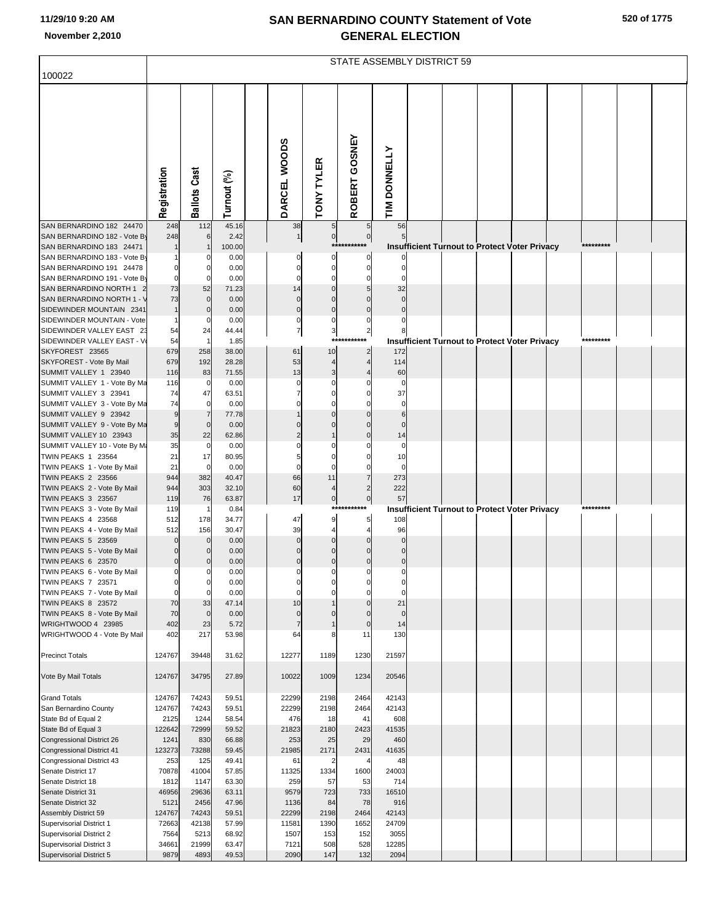|                                                          | <b>STATE ASSEMBLY DISTRICT 59</b> |                              |                |  |                   |                                  |                             |                     |  |  |                                                      |  |  |           |  |  |
|----------------------------------------------------------|-----------------------------------|------------------------------|----------------|--|-------------------|----------------------------------|-----------------------------|---------------------|--|--|------------------------------------------------------|--|--|-----------|--|--|
| 100022                                                   |                                   |                              |                |  |                   |                                  |                             |                     |  |  |                                                      |  |  |           |  |  |
|                                                          | Registration                      | <b>Ballots Cast</b>          | Turnout (%)    |  | DARCEL WOODS      | <b>TONY TYLER</b>                | ROBERT GOSNEY               | TIM DONNELLY        |  |  |                                                      |  |  |           |  |  |
| SAN BERNARDINO 182 24470                                 | 248                               | 112                          | 45.16          |  | 38                | 5 <sub>5</sub>                   | $5\phantom{.0}$             | 56                  |  |  |                                                      |  |  |           |  |  |
| SAN BERNARDINO 182 - Vote By<br>SAN BERNARDINO 183 24471 | 248                               |                              | 2.42<br>100.00 |  | $\overline{1}$    | $\overline{0}$<br>$***$          | $\pmb{0}$                   |                     |  |  | Insufficient Turnout to Protect Voter Privacy        |  |  |           |  |  |
| SAN BERNARDINO 183 - Vote By                             |                                   |                              | 0.00           |  |                   | 0                                | $\Omega$                    |                     |  |  |                                                      |  |  |           |  |  |
| SAN BERNARDINO 191 24478                                 |                                   | $\Omega$                     | 0.00           |  | C                 | $\mathbf 0$                      |                             |                     |  |  |                                                      |  |  |           |  |  |
| SAN BERNARDINO 191 - Vote By                             | $\mathbf 0$                       | $\Omega$                     | 0.00           |  | $\mathsf{C}$      | $\Omega$                         |                             |                     |  |  |                                                      |  |  |           |  |  |
| SAN BERNARDINO NORTH 1<br>SAN BERNARDINO NORTH 1 - V     | 73<br>73                          | 52<br>$\mathbf 0$            | 71.23<br>0.00  |  | 14<br>$\Omega$    | 0<br>$\Omega$                    |                             | 32                  |  |  |                                                      |  |  |           |  |  |
| SIDEWINDER MOUNTAIN 2341                                 | $\mathbf{1}$                      | $\mathbf 0$                  | 0.00           |  | $\mathbf 0$       | $\mathbf 0$                      | $\Omega$                    |                     |  |  |                                                      |  |  |           |  |  |
| SIDEWINDER MOUNTAIN - Vote                               |                                   | $\Omega$                     | 0.00           |  | $\mathbf 0$       | 0                                | $\Omega$                    |                     |  |  |                                                      |  |  |           |  |  |
| SIDEWINDER VALLEY EAST 23                                | 54                                | 24                           | 44.44          |  | $\overline{7}$    | $\mathbf{3}$                     | $\overline{2}$              |                     |  |  |                                                      |  |  |           |  |  |
| SIDEWINDER VALLEY EAST - V                               | 54                                |                              | 1.85           |  |                   | $***$                            |                             |                     |  |  | <b>Insufficient Turnout to Protect Voter Privacy</b> |  |  | ********  |  |  |
| SKYFOREST 23565                                          | 679                               | 258                          | 38.00          |  | 61                | 10                               | $\overline{2}$              | 172                 |  |  |                                                      |  |  |           |  |  |
| SKYFOREST - Vote By Mail<br>SUMMIT VALLEY 1 23940        | 679<br>116                        | 192<br>83                    | 28.28<br>71.55 |  | 53<br>13          | $\overline{4}$<br>3              |                             | 114<br>60           |  |  |                                                      |  |  |           |  |  |
| SUMMIT VALLEY 1 - Vote By Ma                             | 116                               | 0                            | 0.00           |  | C                 | C                                |                             |                     |  |  |                                                      |  |  |           |  |  |
| SUMMIT VALLEY 3 23941                                    | 74                                | 47                           | 63.51          |  |                   |                                  |                             | 37                  |  |  |                                                      |  |  |           |  |  |
| SUMMIT VALLEY 3 - Vote By Ma                             | 74                                | $\overline{0}$               | 0.00           |  |                   |                                  |                             | $\epsilon$          |  |  |                                                      |  |  |           |  |  |
| SUMMIT VALLEY 9 23942                                    | 9                                 |                              | 77.78          |  |                   |                                  |                             | 6                   |  |  |                                                      |  |  |           |  |  |
| SUMMIT VALLEY 9 - Vote By Ma<br>SUMMIT VALLEY 10 23943   | 9<br>35                           | $\mathbf 0$<br>22            | 0.00<br>62.86  |  |                   |                                  |                             | $\mathcal{L}$<br>14 |  |  |                                                      |  |  |           |  |  |
| SUMMIT VALLEY 10 - Vote By M:                            | 35                                | 0                            | 0.00           |  |                   |                                  |                             | $\mathsf{C}$        |  |  |                                                      |  |  |           |  |  |
| <b>TWIN PEAKS 1 23564</b>                                | 21                                | 17                           | 80.95          |  |                   |                                  |                             | 10                  |  |  |                                                      |  |  |           |  |  |
| TWIN PEAKS 1 - Vote By Mail                              | 21                                | $\mathbf 0$                  | 0.00           |  | $\mathsf{C}$      | $\Omega$                         |                             |                     |  |  |                                                      |  |  |           |  |  |
| <b>TWIN PEAKS 2 23566</b>                                | 944                               | 382                          | 40.47          |  | 66                | 11                               | 7                           | 273                 |  |  |                                                      |  |  |           |  |  |
| TWIN PEAKS 2 - Vote By Mail<br><b>TWIN PEAKS 3 23567</b> | 944<br>119                        | 303<br>76                    | 32.10<br>63.87 |  | 60<br>17          | $\overline{4}$<br>$\overline{0}$ | $\overline{2}$<br>$\pmb{0}$ | 222<br>57           |  |  |                                                      |  |  |           |  |  |
| TWIN PEAKS 3 - Vote By Mail                              | 119                               |                              | 0.84           |  |                   | ***                              | *****                       |                     |  |  | <b>Insufficient Turnout to Protect Voter Privacy</b> |  |  | ********* |  |  |
| TWIN PEAKS 4 23568                                       | 512                               | 178                          | 34.77          |  | 47                | 9                                | 5                           | 108                 |  |  |                                                      |  |  |           |  |  |
| TWIN PEAKS 4 - Vote By Mail                              | 512                               | 156                          | 30.47          |  | 39                | 4                                |                             | 96                  |  |  |                                                      |  |  |           |  |  |
| <b>TWIN PEAKS 5 23569</b>                                |                                   | $\mathbf 0$                  | 0.00           |  | $\mathcal{C}$     |                                  |                             |                     |  |  |                                                      |  |  |           |  |  |
| TWIN PEAKS 5 - Vote By Mail<br><b>TWIN PEAKS 6 23570</b> | $\Omega$<br>$\mathbf 0$           | $\mathbf{0}$<br>$\mathbf{0}$ | 0.00<br>0.00   |  | $\mathcal{C}$     |                                  |                             |                     |  |  |                                                      |  |  |           |  |  |
| TWIN PEAKS 6 - Vote By Mail                              | $\mathbf 0$                       | $\mathbf{0}$                 | 0.00           |  | $\Omega$          | $\Omega$                         | $\Omega$                    | $\mathcal{C}$       |  |  |                                                      |  |  |           |  |  |
| TWIN PEAKS 7 23571                                       | 0                                 | $\mathbf 0$                  | 0.00           |  |                   |                                  |                             |                     |  |  |                                                      |  |  |           |  |  |
| TWIN PEAKS 7 - Vote By Mail                              | $\mathbf 0$                       | $\mathbf 0$                  | 0.00           |  | $\Omega$          | $\Omega$                         | $\Omega$                    | $\epsilon$          |  |  |                                                      |  |  |           |  |  |
| <b>TWIN PEAKS 8 23572</b><br>TWIN PEAKS 8 - Vote By Mail | 70<br>70                          | 33<br>$\mathbf 0$            | 47.14<br>0.00  |  | 10<br>$\mathbf 0$ | $\Omega$                         | $\Omega$<br>$\Omega$        | 21<br>$\mathsf{C}$  |  |  |                                                      |  |  |           |  |  |
| WRIGHTWOOD 4 23985                                       | 402                               | 23                           | 5.72           |  | $\overline{7}$    |                                  | $\mathbf 0$                 | 14                  |  |  |                                                      |  |  |           |  |  |
| WRIGHTWOOD 4 - Vote By Mail                              | 402                               | 217                          | 53.98          |  | 64                | 8                                | 11                          | 130                 |  |  |                                                      |  |  |           |  |  |
|                                                          |                                   |                              |                |  |                   |                                  |                             |                     |  |  |                                                      |  |  |           |  |  |
| <b>Precinct Totals</b>                                   | 124767                            | 39448                        | 31.62          |  | 12277             | 1189                             | 1230                        | 21597               |  |  |                                                      |  |  |           |  |  |
| Vote By Mail Totals                                      | 124767                            | 34795                        | 27.89          |  | 10022             | 1009                             | 1234                        | 20546               |  |  |                                                      |  |  |           |  |  |
|                                                          |                                   |                              |                |  |                   |                                  |                             |                     |  |  |                                                      |  |  |           |  |  |
| <b>Grand Totals</b>                                      | 124767                            | 74243                        | 59.51          |  | 22299             | 2198                             | 2464                        | 42143               |  |  |                                                      |  |  |           |  |  |
| San Bernardino County                                    | 124767                            | 74243                        | 59.51          |  | 22299             | 2198                             | 2464                        | 42143               |  |  |                                                      |  |  |           |  |  |
| State Bd of Equal 2                                      | 2125                              | 1244                         | 58.54          |  | 476               | 18                               | 41                          | 608                 |  |  |                                                      |  |  |           |  |  |
| State Bd of Equal 3<br>Congressional District 26         | 122642<br>1241                    | 72999<br>830                 | 59.52<br>66.88 |  | 21823<br>253      | 2180<br>25                       | 2423<br>29                  | 41535<br>460        |  |  |                                                      |  |  |           |  |  |
| <b>Congressional District 41</b>                         | 123273                            | 73288                        | 59.45          |  | 21985             | 2171                             | 2431                        | 41635               |  |  |                                                      |  |  |           |  |  |
| Congressional District 43                                | 253                               | 125                          | 49.41          |  | 61                | $\overline{2}$                   | $\overline{4}$              | 48                  |  |  |                                                      |  |  |           |  |  |
| Senate District 17                                       | 70878                             | 41004                        | 57.85          |  | 11325             | 1334                             | 1600                        | 24003               |  |  |                                                      |  |  |           |  |  |
| Senate District 18                                       | 1812                              | 1147                         | 63.30          |  | 259               | 57                               | 53                          | 714                 |  |  |                                                      |  |  |           |  |  |
| Senate District 31<br>Senate District 32                 | 46956<br>5121                     | 29636<br>2456                | 63.11<br>47.96 |  | 9579<br>1136      | 723<br>84                        | 733<br>78                   | 16510<br>916        |  |  |                                                      |  |  |           |  |  |
| Assembly District 59                                     | 124767                            | 74243                        | 59.51          |  | 22299             | 2198                             | 2464                        | 42143               |  |  |                                                      |  |  |           |  |  |
| Supervisorial District 1                                 | 72663                             | 42138                        | 57.99          |  | 11581             | 1390                             | 1652                        | 24709               |  |  |                                                      |  |  |           |  |  |
| Supervisorial District 2                                 | 7564                              | 5213                         | 68.92          |  | 1507              | 153                              | 152                         | 3055                |  |  |                                                      |  |  |           |  |  |
| Supervisorial District 3                                 | 34661                             | 21999                        | 63.47          |  | 7121              | 508                              | 528                         | 12285               |  |  |                                                      |  |  |           |  |  |
| <b>Supervisorial District 5</b>                          | 9879                              | 4893                         | 49.53          |  | 2090              | 147                              | 132                         | 2094                |  |  |                                                      |  |  |           |  |  |